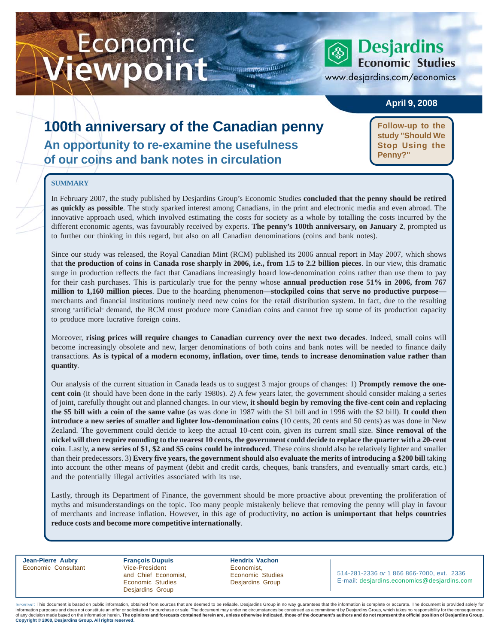# **Economic** Viewpoint April 9, 2008 www.desjardins. ewpoint

**Economic Studies** 

www.desjardins.com/economics

### **April 9, 2008**

## **100th anniversary of the Canadian penny An opportunity to re-examine the usefulness of our coins and bank notes in circulation**

**Follow-up to the study "Should We Stop Using the Penny?"**

### **SUMMARY**

In February 2007, the study published by Desjardins Group's Economic Studies **concluded that the penny should be retired as quickly as possible**. The study sparked interest among Canadians, in the print and electronic media and even abroad. The innovative approach used, which involved estimating the costs for society as a whole by totalling the costs incurred by the different economic agents, was favourably received by experts. **The penny's 100th anniversary, on January 2**, prompted us to further our thinking in this regard, but also on all Canadian denominations (coins and bank notes).

m

Since our study was released, the Royal Canadian Mint (RCM) published its 2006 annual report in May 2007, which shows that **the production of coins in Canada rose sharply in 2006, i.e., from 1.5 to 2.2 billion pieces**. In our view, this dramatic surge in production reflects the fact that Canadians increasingly hoard low-denomination coins rather than use them to pay for their cash purchases. This is particularly true for the penny whose **annual production rose 51% in 2006, from 767 million to 1,160 million pieces**. Due to the hoarding phenomenon—**stockpiled coins that serve no productive purpose** merchants and financial institutions routinely need new coins for the retail distribution system. In fact, due to the resulting strong "artificial" demand, the RCM must produce more Canadian coins and cannot free up some of its production capacity to produce more lucrative foreign coins.

Moreover, **rising prices will require changes to Canadian currency over the next two decades**. Indeed, small coins will become increasingly obsolete and new, larger denominations of both coins and bank notes will be needed to finance daily transactions. **As is typical of a modern economy, inflation, over time, tends to increase denomination value rather than quantity**.

Our analysis of the current situation in Canada leads us to suggest 3 major groups of changes: 1) **Promptly remove the onecent coin** (it should have been done in the early 1980s). 2) A few years later, the government should consider making a series of joint, carefully thought out and planned changes. In our view, **it should begin by removing the five-cent coin and replacing the \$5 bill with a coin of the same value** (as was done in 1987 with the \$1 bill and in 1996 with the \$2 bill). **It could then introduce a new series of smaller and lighter low-denomination coins** (10 cents, 20 cents and 50 cents) as was done in New Zealand. The government could decide to keep the actual 10-cent coin, given its current small size. **Since removal of the nickel will then require rounding to the nearest 10 cents, the government could decide to replace the quarter with a 20-cent coin**. Lastly, **a new series of \$1, \$2 and \$5 coins could be introduced**. These coins should also be relatively lighter and smaller than their predecessors. 3) **Every five years, the government should also evaluate the merits of introducing a \$200 bill** taking into account the other means of payment (debit and credit cards, cheques, bank transfers, and eventually smart cards, etc.) and the potentially illegal activities associated with its use.

Lastly, through its Department of Finance, the government should be more proactive about preventing the proliferation of myths and misunderstandings on the topic. Too many people mistakenly believe that removing the penny will play in favour of merchants and increase inflation. However, in this age of productivity, **no action is unimportant that helps countries reduce costs and become more competitive internationally**.

**Jean-Pierre Aubry François Dupuis Hendrix Vachon** Economic Consultant **Example 2** Vice-President **Example 2** Economist, and Chief Economist, Economic Studies Economic Studies **Desjardins Group** Desjardins Group

514-281-2336 *or* 1 866 866-7000, ext. 2336 E-mail: desjardins.economics@desjardins.com

of any decision made based on the information herein. The opinions and forecasts contained herein are, unless otherwise indicated, those of the document's authors and do not represent the official position of Desjardins G IMPORTANT: This document is based on public information, obtained from sources that are deemed to be reliable. Desjardins Group in no way guarantees that the information is complete or accurate. The document is provided so information purposes and does not constitute an offer or solicitation for purchase or sale. The document may under no circumstances be construed as a commitment by Desjardins Group, which takes no responsibility for the co **Copyright © 2008, Desjardins Group. All rights reserved.**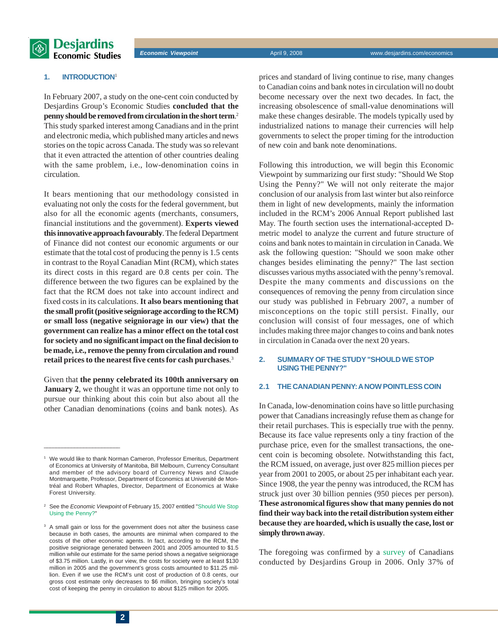

#### **1. INTRODUCTION**<sup>1</sup>

In February 2007, a study on the one-cent coin conducted by Desjardins Group's Economic Studies **concluded that the penny should be removed from circulation in the short term**. 2 This study sparked interest among Canadians and in the print and electronic media, which published many articles and news stories on the topic across Canada. The study was so relevant that it even attracted the attention of other countries dealing with the same problem, i.e., low-denomination coins in circulation.

It bears mentioning that our methodology consisted in evaluating not only the costs for the federal government, but also for all the economic agents (merchants, consumers, financial institutions and the government). **Experts viewed this innovative approach favourably**. The federal Department of Finance did not contest our economic arguments or our estimate that the total cost of producing the penny is 1.5 cents in contrast to the Royal Canadian Mint (RCM), which states its direct costs in this regard are 0.8 cents per coin. The difference between the two figures can be explained by the fact that the RCM does not take into account indirect and fixed costs in its calculations. **It also bears mentioning that the small profit (positive seigniorage according to the RCM) or small loss (negative seigniorage in our view) that the government can realize has a minor effect on the total cost for society and no significant impact on the final decision to be made, i.e., remove the penny from circulation and round retail prices to the nearest five cents for cash purchases**. 3

Given that **the penny celebrated its 100th anniversary on January 2**, we thought it was an opportune time not only to pursue our thinking about this coin but also about all the other Canadian denominations (coins and bank notes). As

 $\frac{1}{2}$  ,  $\frac{1}{2}$  ,  $\frac{1}{2}$  ,  $\frac{1}{2}$  ,  $\frac{1}{2}$  ,  $\frac{1}{2}$  ,  $\frac{1}{2}$  ,  $\frac{1}{2}$  ,  $\frac{1}{2}$  ,  $\frac{1}{2}$  ,  $\frac{1}{2}$  ,  $\frac{1}{2}$  ,  $\frac{1}{2}$  ,  $\frac{1}{2}$  ,  $\frac{1}{2}$  ,  $\frac{1}{2}$  ,  $\frac{1}{2}$  ,  $\frac{1}{2}$  ,  $\frac{1$ 

prices and standard of living continue to rise, many changes to Canadian coins and bank notes in circulation will no doubt become necessary over the next two decades. In fact, the increasing obsolescence of small-value denominations will make these changes desirable. The models typically used by industrialized nations to manage their currencies will help governments to select the proper timing for the introduction of new coin and bank note denominations.

Following this introduction, we will begin this Economic Viewpoint by summarizing our first study: "Should We Stop Using the Penny?" We will not only reiterate the major conclusion of our analysis from last winter but also reinforce them in light of new developments, mainly the information included in the RCM's 2006 Annual Report published last May. The fourth section uses the international-accepted Dmetric model to analyze the current and future structure of coins and bank notes to maintain in circulation in Canada. We ask the following question: "Should we soon make other changes besides eliminating the penny?" The last section discusses various myths associated with the penny's removal. Despite the many comments and discussions on the consequences of removing the penny from circulation since our study was published in February 2007, a number of misconceptions on the topic still persist. Finally, our conclusion will consist of four messages, one of which includes making three major changes to coins and bank notes in circulation in Canada over the next 20 years.

#### **2. SUMMARY OF THE STUDY "SHOULD WE STOP USING THE PENNY?"**

#### **2.1 THE CANADIAN PENNY: A NOW POINTLESS COIN**

In Canada, low-denomination coins have so little purchasing power that Canadians increasingly refuse them as change for their retail purchases. This is especially true with the penny. Because its face value represents only a tiny fraction of the purchase price, even for the smallest transactions, the onecent coin is becoming obsolete. Notwithstanding this fact, the RCM issued, on average, just over 825 million pieces per year from 2001 to 2005, or about 25 per inhabitant each year. Since 1908, the year the penny was introduced, the RCM has struck just over 30 billion pennies (950 pieces per person). **These astronomical figures show that many pennies do not find their way back into the retail distribution system either because they are hoarded, which is usually the case, lost or simply thrown away**.

The foregoing was confirmed by a [survey](http://www.desjardins.com/en/a_propos/etudes_economiques/actualites/point_vue_economique/pve8020402.pdf) of Canadians conducted by Desjardins Group in 2006. Only 37% of

<sup>1</sup> We would like to thank Norman Cameron, Professor Emeritus, Department of Economics at University of Manitoba, Bill Melbourn, Currency Consultant and member of the advisory board of Currency News and Claude Montmarquette, Professor, Department of Economics at Université de Montréal and Robert Whaples, Director, Department of Economics at Wake Forest University.

<sup>&</sup>lt;sup>2</sup> See the *Economic Viewpoint* [of February 15, 2007 entitled "Should We Stop](http://www.desjardins.com/en/a_propos/etudes_economiques/actualites/point_vue_economique/pve70215.pdf) Using the Penny?"

<sup>&</sup>lt;sup>3</sup> A small gain or loss for the government does not alter the business case because in both cases, the amounts are minimal when compared to the costs of the other economic agents. In fact, according to the RCM, the positive seigniorage generated between 2001 and 2005 amounted to \$1.5 million while our estimate for the same period shows a negative seigniorage of \$3.75 million. Lastly, in our view, the costs for society were at least \$130 million in 2005 and the government's gross costs amounted to \$11.25 million. Even if we use the RCM's unit cost of production of 0.8 cents, our gross cost estimate only decreases to \$6 million, bringing society's total cost of keeping the penny in circulation to about \$125 million for 2005.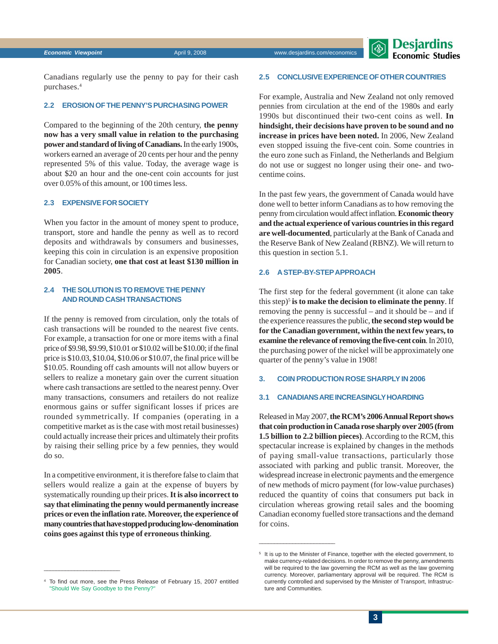

Canadians regularly use the penny to pay for their cash purchases.4

#### **2.2 EROSION OF THE PENNY'S PURCHASING POWER**

Compared to the beginning of the 20th century, **the penny now has a very small value in relation to the purchasing power and standard of living of Canadians.** In the early 1900s, workers earned an average of 20 cents per hour and the penny represented 5% of this value. Today, the average wage is about \$20 an hour and the one-cent coin accounts for just over 0.05% of this amount, or 100 times less.

#### **2.3 EXPENSIVE FOR SOCIETY**

When you factor in the amount of money spent to produce, transport, store and handle the penny as well as to record deposits and withdrawals by consumers and businesses, keeping this coin in circulation is an expensive proposition for Canadian society, **one that cost at least \$130 million in 2005**.

### **2.4 THE SOLUTION IS TO REMOVE THE PENNY AND ROUND CASH TRANSACTIONS**

If the penny is removed from circulation, only the totals of cash transactions will be rounded to the nearest five cents. For example, a transaction for one or more items with a final price of \$9.98, \$9.99, \$10.01 or \$10.02 will be \$10.00; if the final price is \$10.03, \$10.04, \$10.06 or \$10.07, the final price will be \$10.05. Rounding off cash amounts will not allow buyers or sellers to realize a monetary gain over the current situation where cash transactions are settled to the nearest penny. Over many transactions, consumers and retailers do not realize enormous gains or suffer significant losses if prices are rounded symmetrically. If companies (operating in a competitive market as is the case with most retail businesses) could actually increase their prices and ultimately their profits by raising their selling price by a few pennies, they would do so.

In a competitive environment, it is therefore false to claim that sellers would realize a gain at the expense of buyers by systematically rounding up their prices. **It is also incorrect to say that eliminating the penny would permanently increase prices or even the inflation rate. Moreover, the experience of many countries that have stopped producing low-denomination coins goes against this type of erroneous thinking**.

#### **2.5 CONCLUSIVE EXPERIENCE OF OTHER COUNTRIES**

For example, Australia and New Zealand not only removed pennies from circulation at the end of the 1980s and early 1990s but discontinued their two-cent coins as well. **In hindsight, their decisions have proven to be sound and no increase in prices have been noted.** In 2006, New Zealand even stopped issuing the five-cent coin. Some countries in the euro zone such as Finland, the Netherlands and Belgium do not use or suggest no longer using their one- and twocentime coins.

In the past few years, the government of Canada would have done well to better inform Canadians as to how removing the penny from circulation would affect inflation. **Economic theory and the actual experience of various countries in this regard are well-documented**, particularly at the Bank of Canada and the Reserve Bank of New Zealand (RBNZ). We will return to this question in section 5.1.

#### **2.6 A STEP-BY-STEP APPROACH**

The first step for the federal government (it alone can take this step)5 **is to make the decision to eliminate the penny**. If removing the penny is successful – and it should be – and if the experience reassures the public, **the second step would be for the Canadian government, within the next few years, to examine the relevance of removing the five-cent coin**. In 2010, the purchasing power of the nickel will be approximately one quarter of the penny's value in 1908!

#### **3. COIN PRODUCTION ROSE SHARPLY IN 2006**

#### **3.1 CANADIANS ARE INCREASINGLY HOARDING**

Released in May 2007, **the RCM's 2006 Annual Report shows that coin production in Canada rose sharply over 2005 (from 1.5 billion to 2.2 billion pieces)**. According to the RCM, this spectacular increase is explained by changes in the methods of paying small-value transactions, particularly those associated with parking and public transit. Moreover, the widespread increase in electronic payments and the emergence of new methods of micro payment (for low-value purchases) reduced the quantity of coins that consumers put back in circulation whereas growing retail sales and the booming Canadian economy fuelled store transactions and the demand for coins.

 $\frac{1}{2}$  ,  $\frac{1}{2}$  ,  $\frac{1}{2}$  ,  $\frac{1}{2}$  ,  $\frac{1}{2}$  ,  $\frac{1}{2}$  ,  $\frac{1}{2}$  ,  $\frac{1}{2}$  ,  $\frac{1}{2}$  ,  $\frac{1}{2}$  ,  $\frac{1}{2}$  ,  $\frac{1}{2}$  ,  $\frac{1}{2}$  ,  $\frac{1}{2}$  ,  $\frac{1}{2}$  ,  $\frac{1}{2}$  ,  $\frac{1}{2}$  ,  $\frac{1}{2}$  ,  $\frac{1$ 

<sup>&</sup>lt;sup>5</sup> It is up to the Minister of Finance, together with the elected government, to make currency-related decisions. In order to remove the penny, amendments will be required to the law governing the RCM as well as the law governing currency. Moreover, parliamentary approval will be required. The RCM is currently controlled and supervised by the Minister of Transport, Infrastructure and Communities.

<sup>4</sup> [To find out more, see the Press Release of February 15, 2007 entitled](http://www.desjardins.com/en/a_propos/etudes_economiques/actualites/point_vue_economique/pve8020401.pdf) "Should We Say Goodbye to the Penny?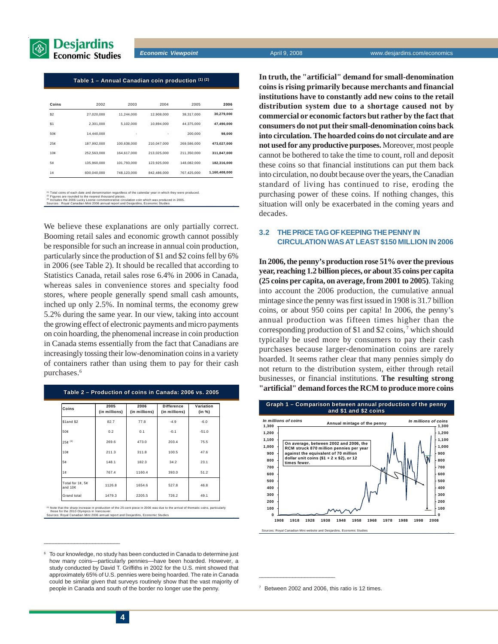

#### Table 1 – Annual Canadian coin production (1) (2)

| Coins | 2002        | 2003        | 2004        | 2005        | 2006          |
|-------|-------------|-------------|-------------|-------------|---------------|
| \$2   | 27.020.000  | 11.244.000  | 12.908.000  | 38.317.000  | 30,279,000    |
| \$1   | 2,301,000   | 5,102,000   | 10,894,000  | 44.375.000  | 47,490,000    |
| 50¢   | 14.440.000  | ٠           | ٠           | 200.000     | 98,000        |
| 25c   | 187.992.000 | 100.638.000 | 210.047.000 | 269.586.000 | 473,027,000   |
| 10c   | 252.563.000 | 164.617.000 | 213.025.000 | 211.350.000 | 311,847,000   |
| 5¢    | 135.960.000 | 101.793.000 | 123.925.000 | 148.082.000 | 182,316,000   |
| 1¢    | 830.040.000 | 748,123,000 | 842.486.000 | 767,425,000 | 1,160,408,000 |

ach date and denomination regardle:<br>nded to the nearest thousand pieces

(<sup>2)</sup> Figures are rounded to the nearest thousand pieces.<br><sup>(3)</sup> Includes the 2006 Lucky Loonie commemorative circulation coin which was produced in 2005.<br>Sources : Royal Canadian Mint 2006 annual report and Desjardins, Eco

We believe these explanations are only partially correct. Booming retail sales and economic growth cannot possibly be responsible for such an increase in annual coin production, particularly since the production of \$1 and \$2 coins fell by 6% in 2006 (see Table 2). It should be recalled that according to Statistics Canada, retail sales rose 6.4% in 2006 in Canada, whereas sales in convenience stores and specialty food stores, where people generally spend small cash amounts, inched up only 2.5%. In nominal terms, the economy grew 5.2% during the same year. In our view, taking into account the growing effect of electronic payments and micro payments on coin hoarding, the phenomenal increase in coin production in Canada stems essentially from the fact that Canadians are increasingly tossing their low-denomination coins in a variety of containers rather than using them to pay for their cash purchases.<sup>6</sup>

| Table 2 – Production of coins in Canada: 2006 vs. 2005<br>2005<br>2006<br><b>Difference</b><br>Variation |               |               |               |         |  |  |  |  |  |
|----------------------------------------------------------------------------------------------------------|---------------|---------------|---------------|---------|--|--|--|--|--|
| Coins                                                                                                    | (in millions) | (in millions) | (in millions) | (in %)  |  |  |  |  |  |
| \$1and \$2                                                                                               | 82.7          | 77.8          | $-4.9$        | $-6.0$  |  |  |  |  |  |
| 50¢                                                                                                      | 0.2           | 0.1           | $-0.1$        | $-51.0$ |  |  |  |  |  |
| $25e^{(1)}$                                                                                              | 269.6         | 473.0         | 203.4         | 75.5    |  |  |  |  |  |
| 10c                                                                                                      | 211.3         | 311.8         | 100.5         | 47.6    |  |  |  |  |  |
| 5¢                                                                                                       | 148.1         | 182.3         | 34.2          | 23.1    |  |  |  |  |  |
| 1¢                                                                                                       | 767.4         | 1160.4        | 393.0         | 51.2    |  |  |  |  |  |
| Total for 1¢, 5¢<br>and 10¢                                                                              | 1126.8        | 1654.6        | 527.8         | 46.8    |  |  |  |  |  |
| Grand total                                                                                              | 1479.3        | 2205.5        | 726.2         | 49.1    |  |  |  |  |  |

tion of the 25-cent piece in 2006 was due to the arrival of thematic coins, particularly those for the 2010 Olympics in Vancouver. Sources: Royal Canadian Mint 2006 annual report and Desjardins, Economic Studies

**In truth, the "artificial" demand for small-denomination coins is rising primarily because merchants and financial institutions have to constantly add new coins to the retail distribution system due to a shortage caused not by commercial or economic factors but rather by the fact that consumers do not put their small-denomination coins back into circulation. The hoarded coins do not circulate and are not used for any productive purposes.** Moreover, most people cannot be bothered to take the time to count, roll and deposit these coins so that financial institutions can put them back into circulation, no doubt because over the years, the Canadian standard of living has continued to rise, eroding the purchasing power of these coins. If nothing changes, this situation will only be exacerbated in the coming years and decades.

#### **3.2 THE PRICE TAG OF KEEPING THE PENNY IN CIRCULATION WAS AT LEAST \$150 MILLION IN 2006**

**In 2006, the penny's production rose 51% over the previous year, reaching 1.2 billion pieces, or about 35 coins per capita (25 coins per capita, on average, from 2001 to 2005)**. Taking into account the 2006 production, the cumulative annual mintage since the penny was first issued in 1908 is 31.7 billion coins, or about 950 coins per capita! In 2006, the penny's annual production was fifteen times higher than the corresponding production of \$1 and \$2 coins, 7 which should typically be used more by consumers to pay their cash purchases because larger-denomination coins are rarely hoarded. It seems rather clear that many pennies simply do not return to the distribution system, either through retail businesses, or financial institutions. **The resulting strong "artificial" demand forces the RCM to produce more coins**



<sup>7</sup> Between 2002 and 2006, this ratio is 12 times.

 $\frac{1}{2}$  ,  $\frac{1}{2}$  ,  $\frac{1}{2}$  ,  $\frac{1}{2}$  ,  $\frac{1}{2}$  ,  $\frac{1}{2}$  ,  $\frac{1}{2}$  ,  $\frac{1}{2}$  ,  $\frac{1}{2}$  ,  $\frac{1}{2}$  ,  $\frac{1}{2}$  ,  $\frac{1}{2}$  ,  $\frac{1}{2}$  ,  $\frac{1}{2}$  ,  $\frac{1}{2}$  ,  $\frac{1}{2}$  ,  $\frac{1}{2}$  ,  $\frac{1}{2}$  ,  $\frac{1$ 

To our knowledge, no study has been conducted in Canada to determine just how many coins—particularly pennies—have been hoarded. However, a study conducted by David T. Griffiths in 2002 for the U.S. mint showed that approximately 65% of U.S. pennies were being hoarded. The rate in Canada could be similar given that surveys routinely show that the vast majority of people in Canada and south of the border no longer use the penny.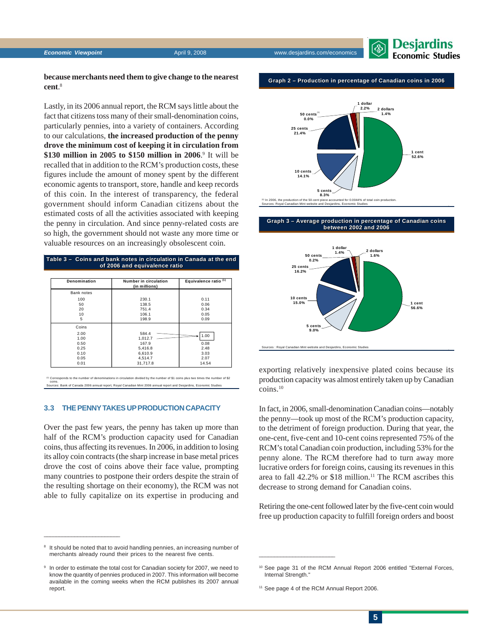**Economic Viewpoint April 9, 2008** www.desjardins.com/economic viewpoint



#### **because merchants need them to give change to the nearest cent**. 8

Lastly, in its 2006 annual report, the RCM says little about the fact that citizens toss many of their small-denomination coins, particularly pennies, into a variety of containers. According to our calculations, **the increased production of the penny drove the minimum cost of keeping it in circulation from** \$130 million in 2005 to \$150 million in 2006.<sup>9</sup> It will be recalled that in addition to the RCM's production costs, these figures include the amount of money spent by the different economic agents to transport, store, handle and keep records of this coin. In the interest of transparency, the federal government should inform Canadian citizens about the estimated costs of all the activities associated with keeping the penny in circulation. And since penny-related costs are so high, the government should not waste any more time or valuable resources on an increasingly obsolescent coin.

#### **Table 3 – Coins and bank notes in circulation in Canada at the end Table 3 Coins and bank notes in in Canada at of 2006 and equivalence ratio 2006 and equivalence ratio**

| Denomination | Number in circulation<br>(in millions) | Equivalence ratio <sup>(1)</sup> |
|--------------|----------------------------------------|----------------------------------|
| Bank notes   |                                        |                                  |
| 100          | 230.1                                  | 0.11                             |
| 50           | 138.5                                  | 0.06                             |
| 20           | 751.4                                  | 0.34                             |
| 10           | 106.1                                  | 0.05                             |
| 5            | 198.9                                  | 0.09                             |
| Coins        |                                        |                                  |
| 2.00         | 584.4                                  | 1.00                             |
| 1.00         | 1,012.7                                |                                  |
| 0.50         | 167.9                                  | 0.08                             |
| 0.25         | 5,416.8                                | 2.48                             |
| 0.10         | 6,610.9                                | 3.03                             |
| 0.05         | 4,514.7                                | 2.07                             |
| 0.01         | 31.717.8                               | 14.54                            |

ed by the number of \$1 coins plus two times the nu coins. Sources: Bank of Canada 2006 annual report, Royal Canadian Mint 2006 annual report and Desjardins, Economic Studies

#### **3.3 THE PENNY TAKES UP PRODUCTION CAPACITY**

Over the past few years, the penny has taken up more than half of the RCM's production capacity used for Canadian coins, thus affecting its revenues. In 2006, in addition to losing its alloy coin contracts (the sharp increase in base metal prices drove the cost of coins above their face value, prompting many countries to postpone their orders despite the strain of the resulting shortage on their economy), the RCM was not able to fully capitalize on its expertise in producing and

It should be noted that to avoid handling pennies, an increasing number of merchants already round their prices to the nearest five cents.

 $\frac{1}{2}$  ,  $\frac{1}{2}$  ,  $\frac{1}{2}$  ,  $\frac{1}{2}$  ,  $\frac{1}{2}$  ,  $\frac{1}{2}$  ,  $\frac{1}{2}$  ,  $\frac{1}{2}$  ,  $\frac{1}{2}$  ,  $\frac{1}{2}$  ,  $\frac{1}{2}$  ,  $\frac{1}{2}$  ,  $\frac{1}{2}$  ,  $\frac{1}{2}$  ,  $\frac{1}{2}$  ,  $\frac{1}{2}$  ,  $\frac{1}{2}$  ,  $\frac{1}{2}$  ,  $\frac{1$ 

#### **Graph 2 – Production in percentage of Canadian coins in 2006 Graph 2 – Production in percentage of Canadian coins in 2006**



#### **Graph 3 – Average production in percentage of Canadian coins Graph 3 – Average production in percentage of Canadian coins between 2002 and 2006 between 2002 and 2006**



exporting relatively inexpensive plated coins because its production capacity was almost entirely taken up by Canadian coins.10

In fact, in 2006, small-denomination Canadian coins—notably the penny—took up most of the RCM's production capacity, to the detriment of foreign production. During that year, the one-cent, five-cent and 10-cent coins represented 75% of the RCM's total Canadian coin production, including 53% for the penny alone. The RCM therefore had to turn away more lucrative orders for foreign coins, causing its revenues in this area to fall 42.2% or \$18 million.<sup>11</sup> The RCM ascribes this decrease to strong demand for Canadian coins.

Retiring the one-cent followed later by the five-cent coin would free up production capacity to fulfill foreign orders and boost

<sup>11</sup> See page 4 of the RCM Annual Report 2006.

<sup>&</sup>lt;sup>9</sup> In order to estimate the total cost for Canadian society for 2007, we need to know the quantity of pennies produced in 2007. This information will become available in the coming weeks when the RCM publishes its 2007 annual report.

<sup>10</sup> See page 31 of the RCM Annual Report 2006 entitled "External Forces, Internal Strength."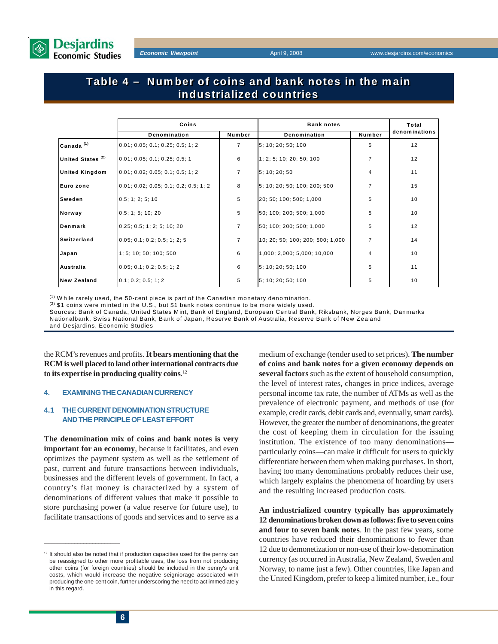

## **Table 4 – Number of coins and bank notes in the main Table 4 – Number of coins and bank notes in the main industrialized countries industrialized countries**

|                              | Coins                                 |                | <b>Bank notes</b>                | Total          |               |
|------------------------------|---------------------------------------|----------------|----------------------------------|----------------|---------------|
|                              | Denomination                          | Number         | Denomination                     | Number         | denominations |
| Canada $(1)$                 | 0.01; 0.05; 0.1; 0.25; 0.5; 1; 2      | $\overline{7}$ | 5: 10: 20: 50: 100               | 5              | 12            |
| United States <sup>(2)</sup> | 0.01; 0.05; 0.1; 0.25; 0.5; 1         | 6              | 1; 2; 5; 10; 20; 50; 100         | $\overline{7}$ | 12            |
| <b>United Kingdom</b>        | 0.01; 0.02; 0.05; 0.1; 0.5; 1; 2      | $\overline{7}$ | 5:10:20:50                       | 4              | 11            |
| Euro zone                    | 0.01; 0.02; 0.05; 0.1; 0.2; 0.5; 1; 2 | 8              | 5; 10; 20; 50; 100; 200; 500     | $\overline{7}$ | 15            |
| Sweden                       | 0.5; 1; 2; 5; 10                      | 5              | 20; 50; 100; 500; 1,000          | 5              | 10            |
| Norway                       | 0.5; 1; 5; 10; 20                     | 5              | 50; 100; 200; 500; 1,000         | 5              | 10            |
| Denmark                      | 0.25; 0.5; 1; 2; 5; 10; 20            | $\overline{7}$ | 50; 100; 200; 500; 1,000         | 5              | 12            |
| Switzerland                  | 0.05; 0.1; 0.2; 0.5; 1; 2; 5          | $\overline{7}$ | 10: 20: 50: 100: 200: 500: 1,000 | $\overline{7}$ | 14            |
| Japan                        | 1: 5: 10: 50: 100: 500                | 6              | 1,000; 2,000; 5,000; 10,000      | 4              | 10            |
| Australia                    | 0.05; 0.1; 0.2; 0.5; 1; 2             | 6              | 5: 10: 20: 50: 100               | 5              | 11            |
| <b>New Zealand</b>           | 0.1; 0.2; 0.5; 1; 2                   | 5              | 5; 10; 20; 50; 100               | 5              | 10            |

 $<sup>(1)</sup>$  W hile rarely used, the 50-cent piece is part of the Canadian monetary denomination.</sup>

 $(2)$  \$1 coins were minted in the U.S., but \$1 bank notes continue to be more widely used.

Sources: Bank of Canada, United States Mint, Bank of England, European Central Bank, Riksbank, Norges Bank, Danmarks Nationalbank, Swiss National Bank, Bank of Japan, Reserve Bank of Australia, Reserve Bank of New Zealand

and Desjardins, Economic Studies

the RCM's revenues and profits. **It bears mentioning that the RCM is well placed to land other international contracts due to its expertise in producing quality coins**. 12

#### **4. EXAMINING THE CANADIAN CURRENCY**

#### **4.1 THE CURRENT DENOMINATION STRUCTURE AND THE PRINCIPLE OF LEAST EFFORT**

**The denomination mix of coins and bank notes is very important for an economy**, because it facilitates, and even optimizes the payment system as well as the settlement of past, current and future transactions between individuals, businesses and the different levels of government. In fact, a country's fiat money is characterized by a system of denominations of different values that make it possible to store purchasing power (a value reserve for future use), to facilitate transactions of goods and services and to serve as a

medium of exchange (tender used to set prices). **The number of coins and bank notes for a given economy depends on several factors** such as the extent of household consumption, the level of interest rates, changes in price indices, average personal income tax rate, the number of ATMs as well as the prevalence of electronic payment, and methods of use (for example, credit cards, debit cards and, eventually, smart cards). However, the greater the number of denominations, the greater the cost of keeping them in circulation for the issuing institution. The existence of too many denominations particularly coins—can make it difficult for users to quickly differentiate between them when making purchases. In short, having too many denominations probably reduces their use, which largely explains the phenomena of hoarding by users and the resulting increased production costs.

**An industrialized country typically has approximately 12 denominations broken down as follows: five to seven coins and four to seven bank notes**. In the past few years, some countries have reduced their denominations to fewer than 12 due to demonetization or non-use of their low-denomination currency (as occurred in Australia, New Zealand, Sweden and Norway, to name just a few). Other countries, like Japan and the United Kingdom, prefer to keep a limited number, i.e., four

 $12$  It should also be noted that if production capacities used for the penny can be reassigned to other more profitable uses, the loss from not producing other coins (for foreign countries) should be included in the penny's unit costs, which would increase the negative seigniorage associated with producing the one-cent coin, further underscoring the need to act immediately in this regard.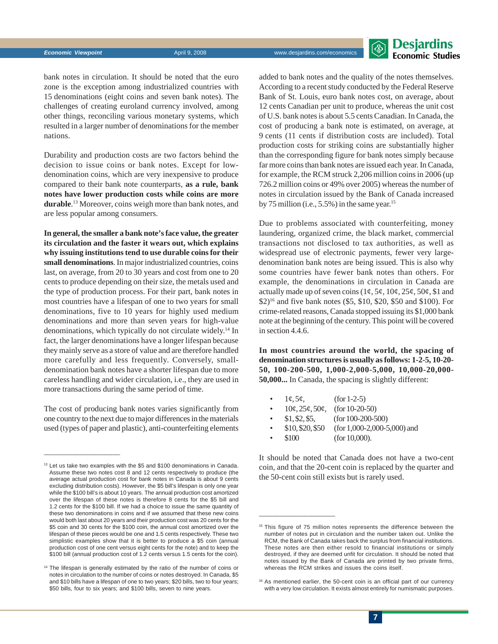

bank notes in circulation. It should be noted that the euro zone is the exception among industrialized countries with 15 denominations (eight coins and seven bank notes). The challenges of creating euroland currency involved, among other things, reconciling various monetary systems, which resulted in a larger number of denominations for the member nations.

Durability and production costs are two factors behind the decision to issue coins or bank notes. Except for lowdenomination coins, which are very inexpensive to produce compared to their bank note counterparts, **as a rule, bank notes have lower production costs while coins are more durable**. 13 Moreover, coins weigh more than bank notes, and are less popular among consumers.

**In general, the smaller a bank note's face value, the greater its circulation and the faster it wears out, which explains why issuing institutions tend to use durable coins for their small denominations**. In major industrialized countries, coins last, on average, from 20 to 30 years and cost from one to 20 cents to produce depending on their size, the metals used and the type of production process. For their part, bank notes in most countries have a lifespan of one to two years for small denominations, five to 10 years for highly used medium denominations and more than seven years for high-value denominations, which typically do not circulate widely.<sup>14</sup> In fact, the larger denominations have a longer lifespan because they mainly serve as a store of value and are therefore handled more carefully and less frequently. Conversely, smalldenomination bank notes have a shorter lifespan due to more careless handling and wider circulation, i.e., they are used in more transactions during the same period of time.

The cost of producing bank notes varies significantly from one country to the next due to major differences in the materials used (types of paper and plastic), anti-counterfeiting elements

 $\frac{1}{2}$  ,  $\frac{1}{2}$  ,  $\frac{1}{2}$  ,  $\frac{1}{2}$  ,  $\frac{1}{2}$  ,  $\frac{1}{2}$  ,  $\frac{1}{2}$  ,  $\frac{1}{2}$  ,  $\frac{1}{2}$  ,  $\frac{1}{2}$  ,  $\frac{1}{2}$  ,  $\frac{1}{2}$  ,  $\frac{1}{2}$  ,  $\frac{1}{2}$  ,  $\frac{1}{2}$  ,  $\frac{1}{2}$  ,  $\frac{1}{2}$  ,  $\frac{1}{2}$  ,  $\frac{1$ 

added to bank notes and the quality of the notes themselves. According to a recent study conducted by the Federal Reserve Bank of St. Louis, euro bank notes cost, on average, about 12 cents Canadian per unit to produce, whereas the unit cost of U.S. bank notes is about 5.5 cents Canadian. In Canada, the cost of producing a bank note is estimated, on average, at 9 cents (11 cents if distribution costs are included). Total production costs for striking coins are substantially higher than the corresponding figure for bank notes simply because far more coins than bank notes are issued each year. In Canada, for example, the RCM struck 2,206 million coins in 2006 (up 726.2 million coins or 49% over 2005) whereas the number of notes in circulation issued by the Bank of Canada increased by 75 million (i.e.,  $5.5\%$ ) in the same year.<sup>15</sup>

Due to problems associated with counterfeiting, money laundering, organized crime, the black market, commercial transactions not disclosed to tax authorities, as well as widespread use of electronic payments, fewer very largedenomination bank notes are being issued. This is also why some countries have fewer bank notes than others. For example, the denominations in circulation in Canada are actually made up of seven coins  $(1\phi, 5\phi, 10\phi, 25\phi, 50\phi, 10\phi)$ \$2)16 and five bank notes (\$5, \$10, \$20, \$50 and \$100). For crime-related reasons, Canada stopped issuing its \$1,000 bank note at the beginning of the century. This point will be covered in section 4.4.6.

**In most countries around the world, the spacing of denomination structures is usually as follows: 1-2-5, 10-20- 50, 100-200-500, 1,000-2,000-5,000, 10,000-20,000- 50,000...** In Canada, the spacing is slightly different:

| $\bullet$ | $1\mathcal{C}, 5\mathcal{C}$ | $(for 1-2-5)$                  |
|-----------|------------------------------|--------------------------------|
| $\bullet$ | $10¢$ , $25¢$ , $50¢$ ,      | $(for 10-20-50)$               |
| $\bullet$ | \$1, \$2, \$5,               | $(for 100-200-500)$            |
| $\bullet$ | \$10, \$20, \$50             | (for $1,000-2,000-5,000$ ) and |
| $\bullet$ | \$100                        | (for $10,000$ ).               |

 $\frac{1}{2}$  ,  $\frac{1}{2}$  ,  $\frac{1}{2}$  ,  $\frac{1}{2}$  ,  $\frac{1}{2}$  ,  $\frac{1}{2}$  ,  $\frac{1}{2}$  ,  $\frac{1}{2}$  ,  $\frac{1}{2}$  ,  $\frac{1}{2}$  ,  $\frac{1}{2}$  ,  $\frac{1}{2}$  ,  $\frac{1}{2}$  ,  $\frac{1}{2}$  ,  $\frac{1}{2}$  ,  $\frac{1}{2}$  ,  $\frac{1}{2}$  ,  $\frac{1}{2}$  ,  $\frac{1$ 

It should be noted that Canada does not have a two-cent coin, and that the 20-cent coin is replaced by the quarter and the 50-cent coin still exists but is rarely used.

<sup>13</sup> Let us take two examples with the \$5 and \$100 denominations in Canada. Assume these two notes cost 8 and 12 cents respectively to produce (the average actual production cost for bank notes in Canada is about 9 cents excluding distribution costs). However, the \$5 bill's lifespan is only one year while the \$100 bill's is about 10 years. The annual production cost amortized over the lifespan of these notes is therefore 8 cents for the \$5 bill and 1.2 cents for the \$100 bill. If we had a choice to issue the same quantity of these two denominations in coins and if we assumed that these new coins would both last about 20 years and their production cost was 20 cents for the \$5 coin and 30 cents for the \$100 coin, the annual cost amortized over the lifespan of these pieces would be one and 1.5 cents respectively. These two simplistic examples show that it is better to produce a \$5 coin (annual production cost of one cent versus eight cents for the note) and to keep the \$100 bill (annual production cost of 1.2 cents versus 1.5 cents for the coin).

<sup>&</sup>lt;sup>14</sup> The lifespan is generally estimated by the ratio of the number of coins or notes in circulation to the number of coins or notes destroyed. In Canada, \$5 and \$10 bills have a lifespan of one to two years; \$20 bills, two to four years; \$50 bills, four to six years; and \$100 bills, seven to nine years.

<sup>&</sup>lt;sup>15</sup> This figure of 75 million notes represents the difference between the number of notes put in circulation and the number taken out. Unlike the RCM, the Bank of Canada takes back the surplus from financial institutions. These notes are then either resold to financial institutions or simply destroyed, if they are deemed unfit for circulation. It should be noted that notes issued by the Bank of Canada are printed by two private firms, whereas the RCM strikes and issues the coins itself.

<sup>&</sup>lt;sup>16</sup> As mentioned earlier, the 50-cent coin is an official part of our currency with a very low circulation. It exists almost entirely for numismatic purposes.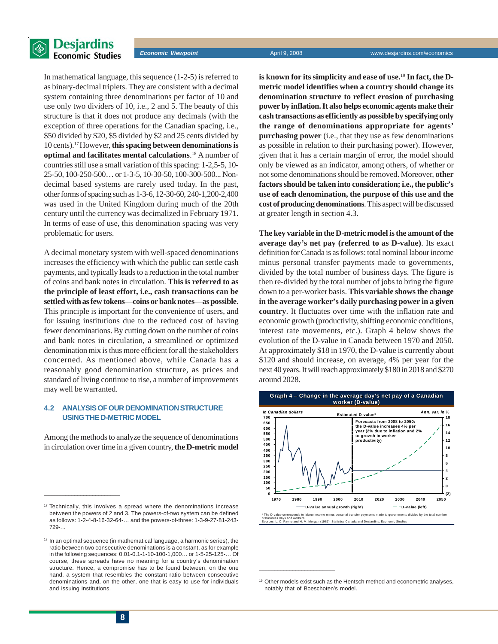

In mathematical language, this sequence (1-2-5) is referred to as binary-decimal triplets. They are consistent with a decimal system containing three denominations per factor of 10 and use only two dividers of 10, i.e., 2 and 5. The beauty of this structure is that it does not produce any decimals (with the exception of three operations for the Canadian spacing, i.e., \$50 divided by \$20, \$5 divided by \$2 and 25 cents divided by 10 cents).17 However, **this spacing between denominations is optimal and facilitates mental calculations**. 18 A number of countries still use a small variation of this spacing: 1-2,5-5, 10- 25-50, 100-250-500… or 1-3-5, 10-30-50, 100-300-500... Nondecimal based systems are rarely used today. In the past, other forms of spacing such as 1-3-6, 12-30-60, 240-1,200-2,400 was used in the United Kingdom during much of the 20th century until the currency was decimalized in February 1971. In terms of ease of use, this denomination spacing was very problematic for users.

A decimal monetary system with well-spaced denominations increases the efficiency with which the public can settle cash payments, and typically leads to a reduction in the total number of coins and bank notes in circulation. **This is referred to as the principle of least effort, i.e., cash transactions can be settled with as few tokens—coins or bank notes—as possible**. This principle is important for the convenience of users, and for issuing institutions due to the reduced cost of having fewer denominations. By cutting down on the number of coins and bank notes in circulation, a streamlined or optimized denomination mix is thus more efficient for all the stakeholders concerned. As mentioned above, while Canada has a reasonably good denomination structure, as prices and standard of living continue to rise, a number of improvements may well be warranted.

#### **4.2 ANALYSIS OF OUR DENOMINATION STRUCTURE USING THE D-METRIC MODEL**

Among the methods to analyze the sequence of denominations in circulation over time in a given country, **the D-metric model** **is known for its simplicity and ease of use.**19 **In fact, the Dmetric model identifies when a country should change its denomination structure to reflect erosion of purchasing power by inflation. It also helps economic agents make their cash transactions as efficiently as possible by specifying only the range of denominations appropriate for agents' purchasing power** (i.e., that they use as few denominations as possible in relation to their purchasing power). However, given that it has a certain margin of error, the model should only be viewed as an indicator, among others, of whether or not some denominations should be removed. Moreover, **other factors should be taken into consideration; i.e., the public's use of each denomination, the purpose of this use and the cost of producing denominations**. This aspect will be discussed at greater length in section 4.3.

**The key variable in the D-metric model is the amount of the average day's net pay (referred to as D-value)**. Its exact definition for Canada is as follows: total nominal labour income minus personal transfer payments made to governments, divided by the total number of business days. The figure is then re-divided by the total number of jobs to bring the figure down to a per-worker basis. **This variable shows the change in the average worker's daily purchasing power in a given country**. It fluctuates over time with the inflation rate and economic growth (productivity, shifting economic conditions, interest rate movements, etc.). Graph 4 below shows the evolution of the D-value in Canada between 1970 and 2050. At approximately \$18 in 1970, the D-value is currently about \$120 and should increase, on average, 4% per year for the next 40 years. It will reach approximately \$180 in 2018 and \$270 around 2028.



<sup>19</sup> Other models exist such as the Hentsch method and econometric analyses, notably that of Boeschoten's model.

 $\frac{1}{2}$  ,  $\frac{1}{2}$  ,  $\frac{1}{2}$  ,  $\frac{1}{2}$  ,  $\frac{1}{2}$  ,  $\frac{1}{2}$  ,  $\frac{1}{2}$  ,  $\frac{1}{2}$  ,  $\frac{1}{2}$  ,  $\frac{1}{2}$  ,  $\frac{1}{2}$  ,  $\frac{1}{2}$  ,  $\frac{1}{2}$  ,  $\frac{1}{2}$  ,  $\frac{1}{2}$  ,  $\frac{1}{2}$  ,  $\frac{1}{2}$  ,  $\frac{1}{2}$  ,  $\frac{1$ 

<sup>&</sup>lt;sup>17</sup> Technically, this involves a spread where the denominations increase between the powers of 2 and 3. The powers-of-two system can be defined as follows: 1-2-4-8-16-32-64-… and the powers-of-three: 1-3-9-27-81-243- 729-…

<sup>&</sup>lt;sup>18</sup> In an optimal sequence (in mathematical language, a harmonic series), the ratio between two consecutive denominations is a constant, as for example in the following sequences: 0.01-0.1-1-10-100-1,000… or 1-5-25-125-… Of course, these spreads have no meaning for a country's denomination structure. Hence, a compromise has to be found between, on the one hand, a system that resembles the constant ratio between consecutive denominations and, on the other, one that is easy to use for individuals and issuing institutions.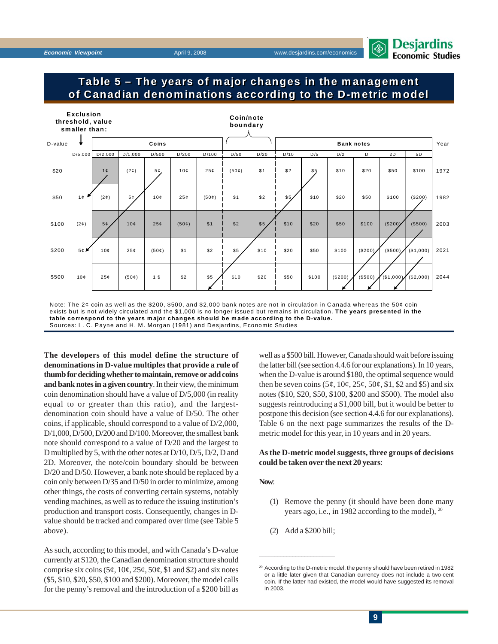

### **Table 5 – The years of major changes in the management Table 5 – The years of major changes in the management of Canadian denominations according to the D-metric model of Canadian denominations according to the D-metric model**



Note: The 2¢ coin as well as the \$200, \$500, and \$2,000 bank notes are not in circulation in Canada whereas the 50¢ coin exists but is not widely circulated and the \$1,000 is no longer issued but remains in circulation. **The years presented in the table correspond to the years major changes should be made according to the D-value.** Sources: L. C. Payne and H. M. Morgan (1981) and Desjardins, Economic Studies

**The developers of this model define the structure of denominations in D-value multiples that provide a rule of thumb for deciding whether to maintain, remove or add coins and bank notes in a given country**. In their view, the minimum coin denomination should have a value of D/5,000 (in reality equal to or greater than this ratio), and the largestdenomination coin should have a value of D/50. The other coins, if applicable, should correspond to a value of D/2,000, D/1,000, D/500, D/200 and D/100. Moreover, the smallest bank note should correspond to a value of D/20 and the largest to D multiplied by 5, with the other notes at D/10, D/5, D/2, D and 2D. Moreover, the note/coin boundary should be between D/20 and D/50. However, a bank note should be replaced by a coin only between D/35 and D/50 in order to minimize, among other things, the costs of converting certain systems, notably vending machines, as well as to reduce the issuing institution's production and transport costs. Consequently, changes in Dvalue should be tracked and compared over time (see Table 5 above).

As such, according to this model, and with Canada's D-value currently at \$120, the Canadian denomination structure should comprise six coins (5¢,  $10¢$ ,  $25¢$ ,  $50¢$ , \$1 and \$2) and six notes (\$5, \$10, \$20, \$50, \$100 and \$200). Moreover, the model calls for the penny's removal and the introduction of a \$200 bill as well as a \$500 bill. However, Canada should wait before issuing the latter bill (see section 4.4.6 for our explanations). In 10 years, when the D-value is around \$180, the optimal sequence would then be seven coins  $(5\varphi, 10\varphi, 25\varphi, 50\varphi, 1, $2 \text{ and } $5)$  and six notes (\$10, \$20, \$50, \$100, \$200 and \$500). The model also suggests reintroducing a \$1,000 bill, but it would be better to postpone this decision (see section 4.4.6 for our explanations). Table 6 on the next page summarizes the results of the Dmetric model for this year, in 10 years and in 20 years.

#### **As the D-metric model suggests, three groups of decisions could be taken over the next 20 years**:

#### **Now**:

- (1) Remove the penny (it should have been done many years ago, i.e., in 1982 according to the model), 20
- (2) Add a \$200 bill;

<sup>&</sup>lt;sup>20</sup> According to the D-metric model, the penny should have been retired in 1982 or a little later given that Canadian currency does not include a two-cent coin. If the latter had existed, the model would have suggested its removal in 2003.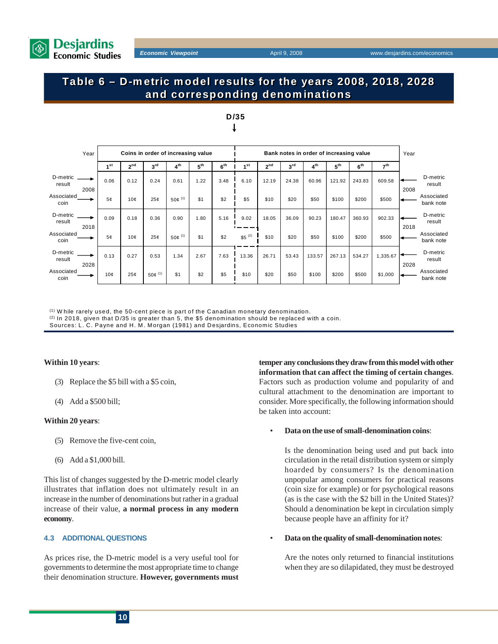

## **Table 6 – D-metric model results for the years 2008, 2018, 2028 Table 6 – D-metric model results for the years 2008, 2018, 2028 and corresponding denominations and corresponding denominations**

|                    | Year |                 |                 | Coins in order of increasing value |                      |                 |                 |                 |                 |                 | Bank notes in order of increasing value |                 |                 |                 | Year |                         |
|--------------------|------|-----------------|-----------------|------------------------------------|----------------------|-----------------|-----------------|-----------------|-----------------|-----------------|-----------------------------------------|-----------------|-----------------|-----------------|------|-------------------------|
|                    |      | 1 <sup>st</sup> | 2 <sup>nd</sup> | $3^{\text{rd}}$                    | 4 <sup>th</sup>      | 5 <sup>th</sup> | 6 <sup>th</sup> | 1 <sup>st</sup> | 2 <sup>nd</sup> | 3 <sup>rd</sup> | 4 <sup>th</sup>                         | 5 <sup>th</sup> | 6 <sup>th</sup> | 7 <sup>th</sup> |      |                         |
| D-metric<br>result | 2008 | 0.06            | 0.12            | 0.24                               | 0.61                 | 1.22            | 3.48            | 6.10            | 12.19           | 24.38           | 60.96                                   | 121.92          | 243.83          | 609.58          | 2008 | D-metric<br>result      |
| Associated<br>coin |      | 5 <sub>c</sub>  | 10 <sub>c</sub> | 25¢                                | $50¢$ <sup>(1)</sup> | \$1             | \$2             | \$5             | \$10            | \$20            | \$50                                    | \$100           | \$200           | \$500           |      | Associated<br>bank note |
| D-metric<br>result | 2018 | 0.09            | 0.18            | 0.36                               | 0.90                 | 1.80            | 5.16            | 9.02            | 18.05           | 36.09           | 90.23                                   | 180.47          | 360.93          | 902.33          | 2018 | D-metric<br>result      |
| Associated<br>coin |      | 5 <sub>c</sub>  | 10 <sub>c</sub> | 25¢                                | $50¢$ (1)            | \$1             | \$2             | $$5^{(2)}$$     | \$10            | \$20            | \$50                                    | \$100           | \$200           | \$500           |      | Associated<br>bank note |
| D-metric<br>result | 2028 | 0.13            | 0.27            | 0.53                               | 1.34                 | 2.67            | 7.63            | 13.36           | 26.71           | 53.43           | 133.57                                  | 267.13          | 534.27          | 1,335.67        | 2028 | D-metric<br>result      |
| Associated<br>coin |      | 10 <sub>c</sub> | 25 <sub>c</sub> | 50 $e^{(1)}$                       | \$1                  | \$2             | \$5             | \$10            | \$20            | \$50            | \$100                                   | \$200           | \$500           | \$1,000         |      | Associated<br>bank note |



 $<sup>(1)</sup>$  W hile rarely used, the 50-cent piece is part of the Canadian monetary denomination.</sup>

 $(2)$  In 2018, given that D/35 is greater than 5, the \$5 denomination should be replaced with a coin.

Sources: L. C. Payne and H. M. Morgan (1981) and Desjardins, Economic Studies

#### **Within 10 years**:

- (3) Replace the \$5 bill with a \$5 coin,
- (4) Add a \$500 bill;

#### **Within 20 years**:

- (5) Remove the five-cent coin,
- (6) Add a \$1,000 bill.

This list of changes suggested by the D-metric model clearly illustrates that inflation does not ultimately result in an increase in the number of denominations but rather in a gradual increase of their value, **a normal process in any modern economy**.

#### **4.3 ADDITIONAL QUESTIONS**

As prices rise, the D-metric model is a very useful tool for governments to determine the most appropriate time to change their denomination structure. **However, governments must** **temper any conclusions they draw from this model with other information that can affect the timing of certain changes**. Factors such as production volume and popularity of and cultural attachment to the denomination are important to consider. More specifically, the following information should be taken into account:

#### • **Data on the use of small-denomination coins**:

Is the denomination being used and put back into circulation in the retail distribution system or simply hoarded by consumers? Is the denomination unpopular among consumers for practical reasons (coin size for example) or for psychological reasons (as is the case with the \$2 bill in the United States)? Should a denomination be kept in circulation simply because people have an affinity for it?

#### • **Data on the quality of small-denomination notes**:

Are the notes only returned to financial institutions when they are so dilapidated, they must be destroyed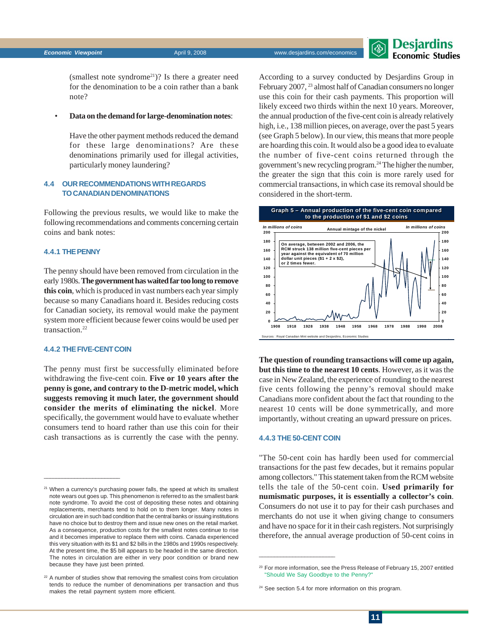

(smallest note syndrome21)? Is there a greater need for the denomination to be a coin rather than a bank note?

#### • **Data on the demand for large-denomination notes**:

Have the other payment methods reduced the demand for these large denominations? Are these denominations primarily used for illegal activities, particularly money laundering?

#### **4.4 OUR RECOMMENDATIONS WITH REGARDS TO CANADIAN DENOMINATIONS**

Following the previous results, we would like to make the following recommendations and comments concerning certain coins and bank notes:

#### **4.4.1 THE PENNY**

The penny should have been removed from circulation in the early 1980s. **The government has waited far too long to remove this coin**, which is produced in vast numbers each year simply because so many Canadians hoard it. Besides reducing costs for Canadian society, its removal would make the payment system more efficient because fewer coins would be used per transaction.<sup>22</sup>

#### **4.4.2 THE FIVE-CENT COIN**

 $\frac{1}{2}$  ,  $\frac{1}{2}$  ,  $\frac{1}{2}$  ,  $\frac{1}{2}$  ,  $\frac{1}{2}$  ,  $\frac{1}{2}$  ,  $\frac{1}{2}$  ,  $\frac{1}{2}$  ,  $\frac{1}{2}$  ,  $\frac{1}{2}$  ,  $\frac{1}{2}$  ,  $\frac{1}{2}$  ,  $\frac{1}{2}$  ,  $\frac{1}{2}$  ,  $\frac{1}{2}$  ,  $\frac{1}{2}$  ,  $\frac{1}{2}$  ,  $\frac{1}{2}$  ,  $\frac{1$ 

The penny must first be successfully eliminated before withdrawing the five-cent coin. **Five or 10 years after the penny is gone, and contrary to the D-metric model, which suggests removing it much later, the government should consider the merits of eliminating the nickel**. More specifically, the government would have to evaluate whether consumers tend to hoard rather than use this coin for their cash transactions as is currently the case with the penny. According to a survey conducted by Desjardins Group in February 2007, <sup>23</sup> almost half of Canadian consumers no longer use this coin for their cash payments. This proportion will likely exceed two thirds within the next 10 years. Moreover, the annual production of the five-cent coin is already relatively high, i.e., 138 million pieces, on average, over the past 5 years (see Graph 5 below). In our view, this means that more people are hoarding this coin. It would also be a good idea to evaluate the number of five-cent coins returned through the government's new recycling program.24 The higher the number, the greater the sign that this coin is more rarely used for commercial transactions, in which case its removal should be considered in the short-term.



**The question of rounding transactions will come up again, but this time to the nearest 10 cents**. However, as it was the case in New Zealand, the experience of rounding to the nearest five cents following the penny's removal should make Canadians more confident about the fact that rounding to the nearest 10 cents will be done symmetrically, and more importantly, without creating an upward pressure on prices.

#### **4.4.3 THE 50-CENT COIN**

 $\frac{1}{2}$  ,  $\frac{1}{2}$  ,  $\frac{1}{2}$  ,  $\frac{1}{2}$  ,  $\frac{1}{2}$  ,  $\frac{1}{2}$  ,  $\frac{1}{2}$  ,  $\frac{1}{2}$  ,  $\frac{1}{2}$  ,  $\frac{1}{2}$  ,  $\frac{1}{2}$  ,  $\frac{1}{2}$  ,  $\frac{1}{2}$  ,  $\frac{1}{2}$  ,  $\frac{1}{2}$  ,  $\frac{1}{2}$  ,  $\frac{1}{2}$  ,  $\frac{1}{2}$  ,  $\frac{1$ 

"The 50-cent coin has hardly been used for commercial transactions for the past few decades, but it remains popular among collectors." This statement taken from the RCM website tells the tale of the 50-cent coin. **Used primarily for numismatic purposes, it is essentially a collector's coin**. Consumers do not use it to pay for their cash purchases and merchants do not use it when giving change to consumers and have no space for it in their cash registers. Not surprisingly therefore, the annual average production of 50-cent coins in

 $21$  When a currency's purchasing power falls, the speed at which its smallest note wears out goes up. This phenomenon is referred to as the smallest bank note syndrome. To avoid the cost of depositing these notes and obtaining replacements, merchants tend to hold on to them longer. Many notes in circulation are in such bad condition that the central banks or issuing institutions have no choice but to destroy them and issue new ones on the retail market. As a consequence, production costs for the smallest notes continue to rise and it becomes imperative to replace them with coins. Canada experienced this very situation with its \$1 and \$2 bills in the 1980s and 1990s respectively. At the present time, the \$5 bill appears to be headed in the same direction. The notes in circulation are either in very poor condition or brand new because they have just been printed.

<sup>&</sup>lt;sup>22</sup> A number of studies show that removing the smallest coins from circulation tends to reduce the number of denominations per transaction and thus makes the retail payment system more efficient.

<sup>&</sup>lt;sup>23</sup> [For more information, see the Press Release of February 15, 2007 entitled](http://www.desjardins.com/en/a_propos/etudes_economiques/actualites/point_vue_economique/pve8020401.pdf) "Should We Say Goodbye to the Penny?"

<sup>&</sup>lt;sup>24</sup> See section 5.4 for more information on this program.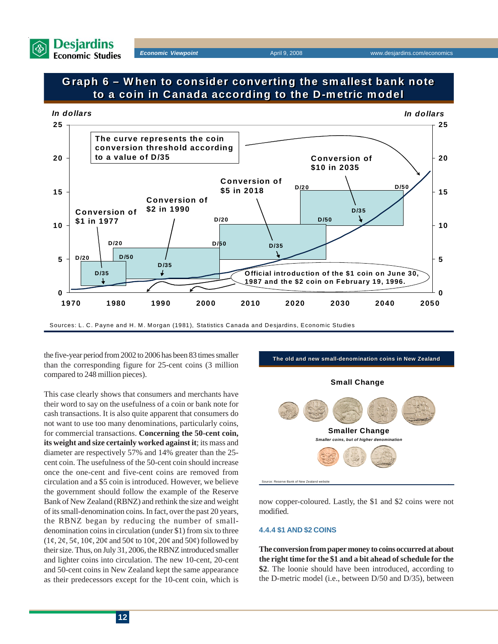

## **Graph 6 – When to consider converting the smallest bank note Graph 6 – When to consider converting the smallest bank note to a coin in Canada according to the D-metric model to a coin in Canada according to the D-metric model**



Sources: L. C. Payne and H. M. Morgan (1981), Statistics Canada and Desjardins, Economic Studies

the five-year period from 2002 to 2006 has been 83 times smaller than the corresponding figure for 25-cent coins (3 million compared to 248 million pieces).

This case clearly shows that consumers and merchants have their word to say on the usefulness of a coin or bank note for cash transactions. It is also quite apparent that consumers do not want to use too many denominations, particularly coins, for commercial transactions. **Concerning the 50-cent coin, its weight and size certainly worked against it**; its mass and diameter are respectively 57% and 14% greater than the 25 cent coin. The usefulness of the 50-cent coin should increase once the one-cent and five-cent coins are removed from circulation and a \$5 coin is introduced. However, we believe the government should follow the example of the Reserve Bank of New Zealand (RBNZ) and rethink the size and weight of its small-denomination coins. In fact, over the past 20 years, the RBNZ began by reducing the number of smalldenomination coins in circulation (under \$1) from six to three  $(1\varphi, 2\varphi, 5\varphi, 10\varphi, 20\varphi)$  and  $50\varphi, 10\varphi, 20\varphi)$  followed by their size. Thus, on July 31, 2006, the RBNZ introduced smaller and lighter coins into circulation. The new 10-cent, 20-cent and 50-cent coins in New Zealand kept the same appearance as their predecessors except for the 10-cent coin, which is



now copper-coloured. Lastly, the \$1 and \$2 coins were not modified.

#### **4.4.4 \$1 AND \$2 COINS**

**The conversion from paper money to coins occurred at about the right time for the \$1 and a bit ahead of schedule for the \$2**. The loonie should have been introduced, according to the D-metric model (i.e., between D/50 and D/35), between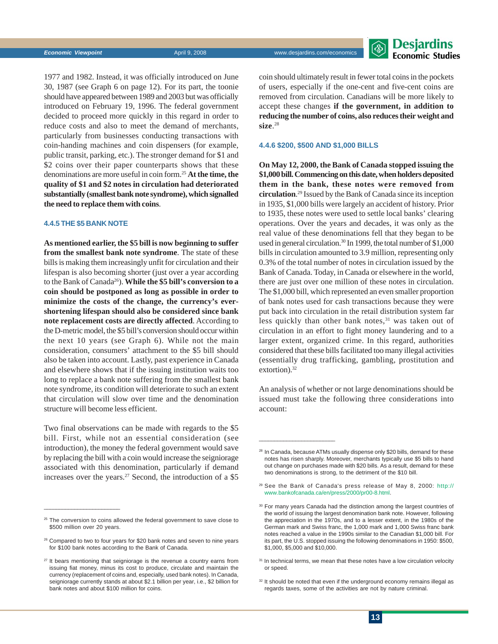

1977 and 1982. Instead, it was officially introduced on June 30, 1987 (see Graph 6 on page 12). For its part, the toonie should have appeared between 1989 and 2003 but was officially introduced on February 19, 1996. The federal government decided to proceed more quickly in this regard in order to reduce costs and also to meet the demand of merchants, particularly from businesses conducting transactions with coin-handing machines and coin dispensers (for example, public transit, parking, etc.). The stronger demand for \$1 and \$2 coins over their paper counterparts shows that these denominations are more useful in coin form.25 **At the time, the quality of \$1 and \$2 notes in circulation had deteriorated substantially (smallest bank note syndrome), which signalled the need to replace them with coins**.

### **4.4.5 THE \$5 BANK NOTE**

 $\frac{1}{2}$  ,  $\frac{1}{2}$  ,  $\frac{1}{2}$  ,  $\frac{1}{2}$  ,  $\frac{1}{2}$  ,  $\frac{1}{2}$  ,  $\frac{1}{2}$  ,  $\frac{1}{2}$  ,  $\frac{1}{2}$  ,  $\frac{1}{2}$  ,  $\frac{1}{2}$  ,  $\frac{1}{2}$  ,  $\frac{1}{2}$  ,  $\frac{1}{2}$  ,  $\frac{1}{2}$  ,  $\frac{1}{2}$  ,  $\frac{1}{2}$  ,  $\frac{1}{2}$  ,  $\frac{1$ 

**As mentioned earlier, the \$5 bill is now beginning to suffer from the smallest bank note syndrome**. The state of these bills is making them increasingly unfit for circulation and their lifespan is also becoming shorter (just over a year according to the Bank of Canada26). **While the \$5 bill's conversion to a coin should be postponed as long as possible in order to minimize the costs of the change, the currency's evershortening lifespan should also be considered since bank note replacement costs are directly affected**. According to the D-metric model, the \$5 bill's conversion should occur within the next 10 years (see Graph 6). While not the main consideration, consumers' attachment to the \$5 bill should also be taken into account. Lastly, past experience in Canada and elsewhere shows that if the issuing institution waits too long to replace a bank note suffering from the smallest bank note syndrome, its condition will deteriorate to such an extent that circulation will slow over time and the denomination structure will become less efficient.

Two final observations can be made with regards to the \$5 bill. First, while not an essential consideration (see introduction), the money the federal government would save by replacing the bill with a coin would increase the seigniorage associated with this denomination, particularly if demand increases over the years.<sup>27</sup> Second, the introduction of a  $$5$ 

<sup>25</sup> The conversion to coins allowed the federal government to save close to \$500 million over 20 years.

coin should ultimately result in fewer total coins in the pockets of users, especially if the one-cent and five-cent coins are removed from circulation. Canadians will be more likely to accept these changes **if the government, in addition to reducing the number of coins, also reduces their weight and size**. 28

#### **4.4.6 \$200, \$500 AND \$1,000 BILLS**

**On May 12, 2000, the Bank of Canada stopped issuing the \$1,000 bill. Commencing on this date, when holders deposited them in the bank, these notes were removed from circulation**. 29 Issued by the Bank of Canada since its inception in 1935, \$1,000 bills were largely an accident of history. Prior to 1935, these notes were used to settle local banks' clearing operations. Over the years and decades, it was only as the real value of these denominations fell that they began to be used in general circulation.<sup>30</sup> In 1999, the total number of \$1,000 bills in circulation amounted to 3.9 million, representing only 0.3% of the total number of notes in circulation issued by the Bank of Canada. Today, in Canada or elsewhere in the world, there are just over one million of these notes in circulation. The \$1,000 bill, which represented an even smaller proportion of bank notes used for cash transactions because they were put back into circulation in the retail distribution system far less quickly than other bank notes,<sup>31</sup> was taken out of circulation in an effort to fight money laundering and to a larger extent, organized crime. In this regard, authorities considered that these bills facilitated too many illegal activities (essentially drug trafficking, gambling, prostitution and extortion).<sup>32</sup>

An analysis of whether or not large denominations should be issued must take the following three considerations into account:

<sup>&</sup>lt;sup>26</sup> Compared to two to four years for \$20 bank notes and seven to nine years for \$100 bank notes according to the Bank of Canada.

 $27$  It bears mentioning that seigniorage is the revenue a country earns from issuing fiat money, minus its cost to produce, circulate and maintain the currency (replacement of coins and, especially, used bank notes). In Canada, seigniorage currently stands at about \$2.1 billion per year, i.e., \$2 billion for bank notes and about \$100 million for coins.

<sup>&</sup>lt;sup>28</sup> In Canada, because ATMs usually dispense only \$20 bills, demand for these notes has risen sharply. Moreover, merchants typically use \$5 bills to hand out change on purchases made with \$20 bills. As a result, demand for these two denominations is strong, to the detriment of the \$10 bill.

<sup>29</sup> See the Bank of Canada's press release of May 8, 2000: http:// www.bankofcanada.ca/en/press/2000/pr00-8.html.

<sup>&</sup>lt;sup>30</sup> For many years Canada had the distinction among the largest countries of the world of issuing the largest denomination bank note. However, following the appreciation in the 1970s, and to a lesser extent, in the 1980s of the German mark and Swiss franc, the 1,000 mark and 1,000 Swiss franc bank notes reached a value in the 1990s similar to the Canadian \$1,000 bill. For its part, the U.S. stopped issuing the following denominations in 1950: \$500, \$1,000, \$5,000 and \$10,000.

<sup>&</sup>lt;sup>31</sup> In technical terms, we mean that these notes have a low circulation velocity or speed.

<sup>&</sup>lt;sup>32</sup> It should be noted that even if the underground economy remains illegal as regards taxes, some of the activities are not by nature criminal.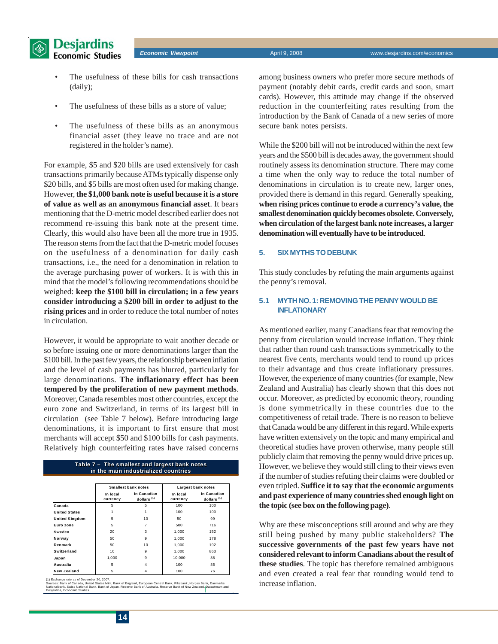



- The usefulness of these bills for cash transactions (daily);
- The usefulness of these bills as a store of value;
- The usefulness of these bills as an anonymous financial asset (they leave no trace and are not registered in the holder's name).

For example, \$5 and \$20 bills are used extensively for cash transactions primarily because ATMs typically dispense only \$20 bills, and \$5 bills are most often used for making change. However, **the \$1,000 bank note is useful because it is a store of value as well as an anonymous financial asset**. It bears mentioning that the D-metric model described earlier does not recommend re-issuing this bank note at the present time. Clearly, this would also have been all the more true in 1935. The reason stems from the fact that the D-metric model focuses on the usefulness of a denomination for daily cash transactions, i.e., the need for a denomination in relation to the average purchasing power of workers. It is with this in mind that the model's following recommendations should be weighed: **keep the \$100 bill in circulation; in a few years consider introducing a \$200 bill in order to adjust to the rising prices** and in order to reduce the total number of notes in circulation.

However, it would be appropriate to wait another decade or so before issuing one or more denominations larger than the \$100 bill. In the past few years, the relationship between inflation and the level of cash payments has blurred, particularly for large denominations. **The inflationary effect has been tempered by the proliferation of new payment methods**. Moreover, Canada resembles most other countries, except the euro zone and Switzerland, in terms of its largest bill in circulation (see Table 7 below). Before introducing large denominations, it is important to first ensure that most merchants will accept \$50 and \$100 bills for cash payments. Relatively high counterfeiting rates have raised concerns

#### **Table 7 – The smallest and largest bank notes in the main industrialized countries Table 7 – The smallest and largest bank notes in the main industrialized countries**

|                       |                      | <b>Smallest bank notes</b>            |                      | Largest bank notes                    |  |  |  |
|-----------------------|----------------------|---------------------------------------|----------------------|---------------------------------------|--|--|--|
|                       | In local<br>currency | In Canadian<br>dollars <sup>(1)</sup> | In local<br>currency | In Canadian<br>dollars <sup>(1)</sup> |  |  |  |
| Canada                | 5                    | 5                                     | 100                  | 100                                   |  |  |  |
| <b>United States</b>  |                      |                                       | 100                  | 100                                   |  |  |  |
| <b>United Kingdom</b> | 5                    | 10                                    | 50                   | 99                                    |  |  |  |
| Euro zone             | 5                    |                                       | 500                  | 716                                   |  |  |  |
| Sweden                | 20                   | 3                                     | 1.000                | 152                                   |  |  |  |
| Norway                | 50                   | 9                                     | 1.000                | 178                                   |  |  |  |
| Denmark               | 50                   | 10                                    | 1.000                | 192                                   |  |  |  |
| Switzerland           | 10                   | 9                                     | 1.000                | 863                                   |  |  |  |
| Japan                 | 1.000                | 9                                     | 10.000               | 88                                    |  |  |  |
| <b>Australia</b>      | 5                    | 4                                     | 100                  | 86                                    |  |  |  |
| <b>New Zealand</b>    | 5                    | 4                                     | 100                  | 76                                    |  |  |  |

(1) Exchange rate as of December 20, 2007.<br>Sources: Bank of Canada, United States Mint, Bank of England, European Central Bank, Riksbank, Norges Bank, Danmarks<br>Nationalbank, Swiss National Bank, Bank of Japan, Reserve Bank

among business owners who prefer more secure methods of payment (notably debit cards, credit cards and soon, smart cards). However, this attitude may change if the observed reduction in the counterfeiting rates resulting from the introduction by the Bank of Canada of a new series of more secure bank notes persists.

While the \$200 bill will not be introduced within the next few years and the \$500 bill is decades away, the government should routinely assess its denomination structure. There may come a time when the only way to reduce the total number of denominations in circulation is to create new, larger ones, provided there is demand in this regard. Generally speaking, **when rising prices continue to erode a currency's value, the smallest denomination quickly becomes obsolete. Conversely, when circulation of the largest bank note increases, a larger denomination will eventually have to be introduced**.

#### **5. SIX MYTHS TO DEBUNK**

This study concludes by refuting the main arguments against the penny's removal.

#### **5.1 MYTH NO. 1: REMOVING THE PENNY WOULD BE INFLATIONARY**

As mentioned earlier, many Canadians fear that removing the penny from circulation would increase inflation. They think that rather than round cash transactions symmetrically to the nearest five cents, merchants would tend to round up prices to their advantage and thus create inflationary pressures. However, the experience of many countries (for example, New Zealand and Australia) has clearly shown that this does not occur. Moreover, as predicted by economic theory, rounding is done symmetrically in these countries due to the competitiveness of retail trade. There is no reason to believe that Canada would be any different in this regard. While experts have written extensively on the topic and many empirical and theoretical studies have proven otherwise, many people still publicly claim that removing the penny would drive prices up. However, we believe they would still cling to their views even if the number of studies refuting their claims were doubled or even tripled. **Suffice it to say that the economic arguments and past experience of many countries shed enough light on the topic (see box on the following page)**.

Why are these misconceptions still around and why are they still being pushed by many public stakeholders? **The successive governments of the past few years have not considered relevant to inform Canadians about the result of these studies**. The topic has therefore remained ambiguous and even created a real fear that rounding would tend to increase inflation.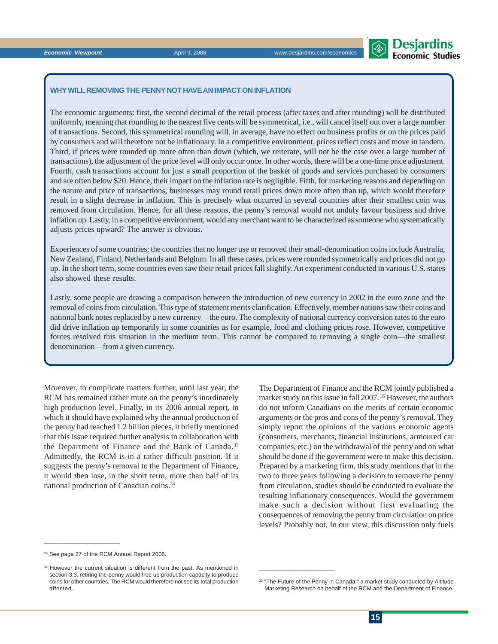$\frac{1}{2}$  ,  $\frac{1}{2}$  ,  $\frac{1}{2}$  ,  $\frac{1}{2}$  ,  $\frac{1}{2}$  ,  $\frac{1}{2}$  ,  $\frac{1}{2}$  ,  $\frac{1}{2}$  ,  $\frac{1}{2}$  ,  $\frac{1}{2}$  ,  $\frac{1}{2}$  ,  $\frac{1}{2}$  ,  $\frac{1}{2}$  ,  $\frac{1}{2}$  ,  $\frac{1}{2}$  ,  $\frac{1}{2}$  ,  $\frac{1}{2}$  ,  $\frac{1}{2}$  ,  $\frac{1$ 

 $\frac{1}{2}$  ,  $\frac{1}{2}$  ,  $\frac{1}{2}$  ,  $\frac{1}{2}$  ,  $\frac{1}{2}$  ,  $\frac{1}{2}$  ,  $\frac{1}{2}$  ,  $\frac{1}{2}$  ,  $\frac{1}{2}$  ,  $\frac{1}{2}$  ,  $\frac{1}{2}$  ,  $\frac{1}{2}$  ,  $\frac{1}{2}$  ,  $\frac{1}{2}$  ,  $\frac{1}{2}$  ,  $\frac{1}{2}$  ,  $\frac{1}{2}$  ,  $\frac{1}{2}$  ,  $\frac{1$ 

### **WHY WILL REMOVING THE PENNY NOT HAVE AN IMPACT ON INFLATION**

The economic arguments: first, the second decimal of the retail process (after taxes and after rounding) will be distributed uniformly, meaning that rounding to the nearest five cents will be symmetrical, i.e., will cancel itself out over a large number of transactions. Second, this symmetrical rounding will, in average, have no effect on business profits or on the prices paid by consumers and will therefore not be inflationary. In a competitive environment, prices reflect costs and move in tandem. Third, if prices were rounded up more often than down (which, we reiterate, will not be the case over a large number of transactions), the adjustment of the price level will only occur once. In other words, there will be a one-time price adjustment. Fourth, cash transactions account for just a small proportion of the basket of goods and services purchased by consumers and are often below \$20. Hence, their impact on the inflation rate is negligible. Fifth, for marketing reasons and depending on the nature and price of transactions, businesses may round retail prices down more often than up, which would therefore result in a slight decrease in inflation. This is precisely what occurred in several countries after their smallest coin was removed from circulation. Hence, for all these reasons, the penny's removal would not unduly favour business and drive inflation up. Lastly, in a competitive environment, would any merchant want to be characterized as someone who systematically adjusts prices upward? The answer is obvious.

Experiences of some countries: the countries that no longer use or removed their small-denomination coins include Australia, New Zealand, Finland, Netherlands and Belgium. In all these cases, prices were rounded symmetrically and prices did not go up. In the short term, some countries even saw their retail prices fall slightly. An experiment conducted in various U.S. states also showed these results.

Lastly, some people are drawing a comparison between the introduction of new currency in 2002 in the euro zone and the removal of coins from circulation. This type of statement merits clarification. Effectively, member nations saw their coins and national bank notes replaced by a new currency—the euro. The complexity of national currency conversion rates to the euro did drive inflation up temporarily in some countries as for example, food and clothing prices rose. However, competitive forces resolved this situation in the medium term. This cannot be compared to removing a single coin—the smallest denomination—from a given currency.

Moreover, to complicate matters further, until last year, the RCM has remained rather mute on the penny's inordinately high production level. Finally, in its 2006 annual report, in which it should have explained why the annual production of the penny had reached 1.2 billion pieces, it briefly mentioned that this issue required further analysis in collaboration with the Department of Finance and the Bank of Canada.<sup>33</sup> Admittedly, the RCM is in a rather difficult position. If it suggests the penny's removal to the Department of Finance, it would then lose, in the short term, more than half of its national production of Canadian coins.34

The Department of Finance and the RCM jointly published a market study on this issue in fall 2007. 35 However, the authors do not inform Canadians on the merits of certain economic arguments or the pros and cons of the penny's removal. They simply report the opinions of the various economic agents (consumers, merchants, financial institutions, armoured car companies, etc.) on the withdrawal of the penny and on what should be done if the government were to make this decision. Prepared by a marketing firm, this study mentions that in the two to three years following a decision to remove the penny from circulation, studies should be conducted to evaluate the resulting inflationary consequences. Would the government make such a decision without first evaluating the consequences of removing the penny from circulation on price levels? Probably not. In our view, this discussion only fuels



### **Economic Viewpoint April 9, 2008** Www.desjardins.com/economic

<sup>&</sup>lt;sup>34</sup> However the current situation is different from the past. As mentioned in section 3.3, retiring the penny would free up production capacity to produce coins for other countries. The RCM would therefore not see its total production affected.

<sup>&</sup>lt;sup>35</sup> "The Future of the Penny in Canada," a market study conducted by Altitude Marketing Research on behalf of the RCM and the Department of Finance.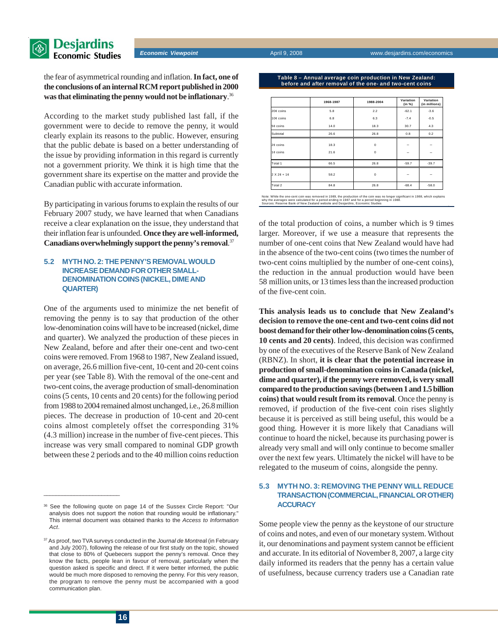

the fear of asymmetrical rounding and inflation. **In fact, one of the conclusions of an internal RCM report published in 2000 was that eliminating the penny would not be inflationary**. 36

According to the market study published last fall, if the government were to decide to remove the penny, it would clearly explain its reasons to the public. However, ensuring that the public debate is based on a better understanding of the issue by providing information in this regard is currently not a government priority. We think it is high time that the government share its expertise on the matter and provide the Canadian public with accurate information.

By participating in various forums to explain the results of our February 2007 study, we have learned that when Canadians receive a clear explanation on the issue, they understand that their inflation fear is unfounded. **Once they are well-informed, Canadians overwhelmingly support the penny's removal**. 37

#### **5.2 MYTH NO. 2: THE PENNY'S REMOVAL WOULD INCREASE DEMAND FOR OTHER SMALL-DENOMINATION COINS (NICKEL, DIME AND QUARTER)**

One of the arguments used to minimize the net benefit of removing the penny is to say that production of the other low-denomination coins will have to be increased (nickel, dime and quarter). We analyzed the production of these pieces in New Zealand, before and after their one-cent and two-cent coins were removed. From 1968 to 1987, New Zealand issued, on average, 26.6 million five-cent, 10-cent and 20-cent coins per year (see Table 8). With the removal of the one-cent and two-cent coins, the average production of small-denomination coins (5 cents, 10 cents and 20 cents) for the following period from 1988 to 2004 remained almost unchanged, i.e., 26.8 million pieces. The decrease in production of 10-cent and 20-cent coins almost completely offset the corresponding 31% (4.3 million) increase in the number of five-cent pieces. This increase was very small compared to nominal GDP growth between these 2 periods and to the 40 million coins reduction

| Table 8 – Annual average coin production in New Zealand: ' |
|------------------------------------------------------------|
| before and after removal of the one- and two-cent coins'   |

|               | 1968-1987 | 1988-2004   | Variation<br>(in %) | Variation<br>(in millions) |
|---------------|-----------|-------------|---------------------|----------------------------|
| 20¢ coins     | 5.8       | 2.2         | $-62.1$             | $-3.6$                     |
| 10¢ coins     | 6.8       | 6.3         | $-7.4$              | $-0.5$                     |
| 5¢ coins      | 14.0      | 18.3        | 30.7                | 4.3                        |
| Subtotal      | 26.6      | 26.8        | 0.8                 | 0.2                        |
| 2¢ coins      | 18.3      | $\mathbf 0$ |                     |                            |
| 1¢ coins      | 21.6      | $\mathbf 0$ |                     |                            |
| Total 1       | 66.5      | 26.8        | $-59.7$             | $-39.7$                    |
| $2 X 2e + 1e$ | 58.2      | $\mathbf 0$ |                     |                            |
| Total 2       | 84.8      | 26.8        | $-68.4$             | $-58.0$                    |

Note: While the one-cent coin was removed in 1989, the production of the coin was no longer significant in 1988, which explains<br>why the averages were calculated for a period ending in 1987 and for a period beginning in 198

of the total production of coins, a number which is 9 times larger. Moreover, if we use a measure that represents the number of one-cent coins that New Zealand would have had in the absence of the two-cent coins (two times the number of two-cent coins multiplied by the number of one-cent coins), the reduction in the annual production would have been 58 million units, or 13 times less than the increased production of the five-cent coin.

**This analysis leads us to conclude that New Zealand's decision to remove the one-cent and two-cent coins did not boost demand for their other low-denomination coins (5 cents, 10 cents and 20 cents)**. Indeed, this decision was confirmed by one of the executives of the Reserve Bank of New Zealand (RBNZ). In short, **it is clear that the potential increase in production of small-denomination coins in Canada (nickel, dime and quarter), if the penny were removed, is very small compared to the production savings (between 1 and 1.5 billion coins) that would result from its removal**. Once the penny is removed, if production of the five-cent coin rises slightly because it is perceived as still being useful, this would be a good thing. However it is more likely that Canadians will continue to hoard the nickel, because its purchasing power is already very small and will only continue to become smaller over the next few years. Ultimately the nickel will have to be relegated to the museum of coins, alongside the penny.

#### **5.3 MYTH NO. 3: REMOVING THE PENNY WILL REDUCE TRANSACTION (COMMERCIAL, FINANCIAL OR OTHER) ACCURACY**

Some people view the penny as the keystone of our structure of coins and notes, and even of our monetary system. Without it, our denominations and payment system cannot be efficient and accurate. In its editorial of November 8, 2007, a large city daily informed its readers that the penny has a certain value of usefulness, because currency traders use a Canadian rate

<sup>36</sup> See the following quote on page 14 of the Sussex Circle Report: "Our analysis does not support the notion that rounding would be inflationary." This internal document was obtained thanks to the *Access to Information Act*.

<sup>37</sup> As proof, two TVA surveys conducted in the *Journal de Montrea*l (in February and July 2007), following the release of our first study on the topic, showed that close to 80% of Quebecers support the penny's removal. Once they know the facts, people lean in favour of removal, particularly when the question asked is specific and direct. If it were better informed, the public would be much more disposed to removing the penny. For this very reason, the program to remove the penny must be accompanied with a good communication plan.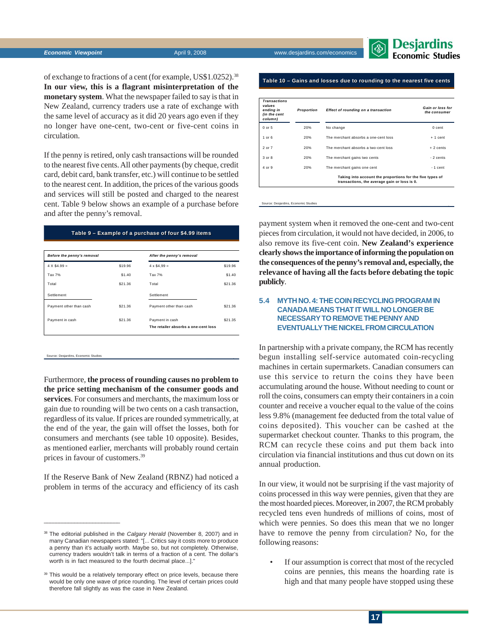

of exchange to fractions of a cent (for example, US\$1.0252).38 **In our view, this is a flagrant misinterpretation of the monetary system**. What the newspaper failed to say is that in New Zealand, currency traders use a rate of exchange with the same level of accuracy as it did 20 years ago even if they no longer have one-cent, two-cent or five-cent coins in circulation.

If the penny is retired, only cash transactions will be rounded to the nearest five cents. All other payments (by cheque, credit card, debit card, bank transfer, etc.) will continue to be settled to the nearest cent. In addition, the prices of the various goods and services will still be posted and charged to the nearest cent. Table 9 below shows an example of a purchase before and after the penny's removal.

#### **Table 9 – Example of a purchase of four \$4.99 items Table 9 – Example of a purchase of four \$4.99 items**

| Before the penny's removal |         | After the penny's removal                               |         |  |  |  |
|----------------------------|---------|---------------------------------------------------------|---------|--|--|--|
| $4 \times $4.99 =$         | \$19.96 | $4 \times $4,99 =$                                      | \$19.96 |  |  |  |
| Tax 7%                     | \$1.40  | Tax 7%                                                  | \$1.40  |  |  |  |
| Total                      | \$21.36 | Total                                                   | \$21.36 |  |  |  |
| Settlement                 |         | Settlement                                              |         |  |  |  |
| Payment other than cash    | \$21.36 | Payment other than cash                                 | \$21.36 |  |  |  |
| Payment in cash            | \$21.36 | Payment in cash<br>The retailer absorbs a one-cent loss | \$21.35 |  |  |  |

Source: Desjardins, Economic Studies

 $\frac{1}{2}$  ,  $\frac{1}{2}$  ,  $\frac{1}{2}$  ,  $\frac{1}{2}$  ,  $\frac{1}{2}$  ,  $\frac{1}{2}$  ,  $\frac{1}{2}$  ,  $\frac{1}{2}$  ,  $\frac{1}{2}$  ,  $\frac{1}{2}$  ,  $\frac{1}{2}$  ,  $\frac{1}{2}$  ,  $\frac{1}{2}$  ,  $\frac{1}{2}$  ,  $\frac{1}{2}$  ,  $\frac{1}{2}$  ,  $\frac{1}{2}$  ,  $\frac{1}{2}$  ,  $\frac{1$ 

Furthermore, **the process of rounding causes no problem to the price setting mechanism of the consumer goods and services**. For consumers and merchants, the maximum loss or gain due to rounding will be two cents on a cash transaction, regardless of its value. If prices are rounded symmetrically, at the end of the year, the gain will offset the losses, both for consumers and merchants (see table 10 opposite). Besides, as mentioned earlier, merchants will probably round certain prices in favour of customers.39

If the Reserve Bank of New Zealand (RBNZ) had noticed a problem in terms of the accuracy and efficiency of its cash

| <b>Transactions</b><br>values<br>ending in<br>(in the cent<br>column) | Proportion | Effect of rounding on a transaction                                                                       | Gain or loss for<br>the consumer |
|-----------------------------------------------------------------------|------------|-----------------------------------------------------------------------------------------------------------|----------------------------------|
| 0 or 5                                                                | 20%        | No change                                                                                                 | 0 cent                           |
| $1$ or $6$                                                            | 20%        | The merchant absorbs a one-cent loss                                                                      | $+1$ cent                        |
| $2$ or $7$                                                            | 20%        | The merchant absorbs a two-cent loss                                                                      | $+2$ cents                       |
| $3$ or $8$                                                            | 20%        | The merchant gains two cents                                                                              | $-2$ cents                       |
| $4$ or $9$                                                            | 20%        | The merchant gains one cent                                                                               | $-1$ cent                        |
|                                                                       |            | Taking into account the proportions for the five types of<br>transactions, the average gain or loss is 0. |                                  |

Source: Desjardins, Economic Studies

payment system when it removed the one-cent and two-cent pieces from circulation, it would not have decided, in 2006, to also remove its five-cent coin. **New Zealand's experience clearly shows the importance of informing the population on the consequences of the penny's removal and, especially, the relevance of having all the facts before debating the topic publicly**.

#### **5.4 MYTH NO. 4: THE COIN RECYCLING PROGRAM IN CANADA MEANS THAT IT WILL NO LONGER BE NECESSARY TO REMOVE THE PENNY AND EVENTUALLY THE NICKEL FROM CIRCULATION**

In partnership with a private company, the RCM has recently begun installing self-service automated coin-recycling machines in certain supermarkets. Canadian consumers can use this service to return the coins they have been accumulating around the house. Without needing to count or roll the coins, consumers can empty their containers in a coin counter and receive a voucher equal to the value of the coins less 9.8% (management fee deducted from the total value of coins deposited). This voucher can be cashed at the supermarket checkout counter. Thanks to this program, the RCM can recycle these coins and put them back into circulation via financial institutions and thus cut down on its annual production.

In our view, it would not be surprising if the vast majority of coins processed in this way were pennies, given that they are the most hoarded pieces. Moreover, in 2007, the RCM probably recycled tens even hundreds of millions of coins, most of which were pennies. So does this mean that we no longer have to remove the penny from circulation? No, for the following reasons:

If our assumption is correct that most of the recycled coins are pennies, this means the hoarding rate is high and that many people have stopped using these

<sup>38</sup> The editorial published in the *Calgary Herald* (November 8, 2007) and in many Canadian newspapers stated: "[... Critics say it costs more to produce a penny than it's actually worth. Maybe so, but not completely. Otherwise, currency traders wouldn't talk in terms of a fraction of a cent. The dollar's worth is in fact measured to the fourth decimal place...]."

<sup>39</sup> This would be a relatively temporary effect on price levels, because there would be only one wave of price rounding. The level of certain prices could therefore fall slightly as was the case in New Zealand.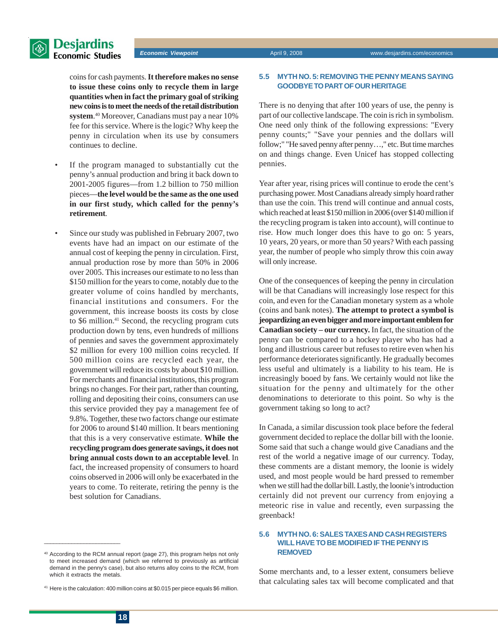

### **Desjardins** Economic Studies

*Economic Viewpoint* April 9, 2008 www.desjardins.com/economics

coins for cash payments. **It therefore makes no sense to issue these coins only to recycle them in large quantities when in fact the primary goal of striking new coins is to meet the needs of the retail distribution system**. 40 Moreover, Canadians must pay a near 10% fee for this service. Where is the logic? Why keep the penny in circulation when its use by consumers continues to decline.

- If the program managed to substantially cut the penny's annual production and bring it back down to 2001-2005 figures—from 1.2 billion to 750 million pieces—**the level would be the same as the one used in our first study, which called for the penny's retirement**.
- Since our study was published in February 2007, two events have had an impact on our estimate of the annual cost of keeping the penny in circulation. First, annual production rose by more than 50% in 2006 over 2005. This increases our estimate to no less than \$150 million for the years to come, notably due to the greater volume of coins handled by merchants, financial institutions and consumers. For the government, this increase boosts its costs by close to \$6 million.<sup>41</sup> Second, the recycling program cuts production down by tens, even hundreds of millions of pennies and saves the government approximately \$2 million for every 100 million coins recycled. If 500 million coins are recycled each year, the government will reduce its costs by about \$10 million. For merchants and financial institutions, this program brings no changes. For their part, rather than counting, rolling and depositing their coins, consumers can use this service provided they pay a management fee of 9.8%. Together, these two factors change our estimate for 2006 to around \$140 million. It bears mentioning that this is a very conservative estimate. **While the recycling program does generate savings, it does not bring annual costs down to an acceptable level**. In fact, the increased propensity of consumers to hoard coins observed in 2006 will only be exacerbated in the years to come. To reiterate, retiring the penny is the best solution for Canadians.

#### **5.5 MYTH NO. 5: REMOVING THE PENNY MEANS SAYING GOODBYE TO PART OF OUR HERITAGE**

There is no denying that after 100 years of use, the penny is part of our collective landscape. The coin is rich in symbolism. One need only think of the following expressions: "Every penny counts;" "Save your pennies and the dollars will follow;" "He saved penny after penny…," etc. But time marches on and things change. Even Unicef has stopped collecting pennies.

Year after year, rising prices will continue to erode the cent's purchasing power. Most Canadians already simply hoard rather than use the coin. This trend will continue and annual costs, which reached at least \$150 million in 2006 (over \$140 million if the recycling program is taken into account), will continue to rise. How much longer does this have to go on: 5 years, 10 years, 20 years, or more than 50 years? With each passing year, the number of people who simply throw this coin away will only increase.

One of the consequences of keeping the penny in circulation will be that Canadians will increasingly lose respect for this coin, and even for the Canadian monetary system as a whole (coins and bank notes). **The attempt to protect a symbol is jeopardizing an even bigger and more important emblem for Canadian society – our currency.** In fact, the situation of the penny can be compared to a hockey player who has had a long and illustrious career but refuses to retire even when his performance deteriorates significantly. He gradually becomes less useful and ultimately is a liability to his team. He is increasingly booed by fans. We certainly would not like the situation for the penny and ultimately for the other denominations to deteriorate to this point. So why is the government taking so long to act?

In Canada, a similar discussion took place before the federal government decided to replace the dollar bill with the loonie. Some said that such a change would give Canadians and the rest of the world a negative image of our currency. Today, these comments are a distant memory, the loonie is widely used, and most people would be hard pressed to remember when we still had the dollar bill. Lastly, the loonie's introduction certainly did not prevent our currency from enjoying a meteoric rise in value and recently, even surpassing the greenback!

#### **5.6 MYTH NO. 6: SALES TAXES AND CASH REGISTERS WILL HAVE TO BE MODIFIED IF THE PENNY IS REMOVED**

Some merchants and, to a lesser extent, consumers believe that calculating sales tax will become complicated and that

 $\overline{\phantom{a}}$  , where  $\overline{\phantom{a}}$  , where  $\overline{\phantom{a}}$  ,  $\overline{\phantom{a}}$  ,  $\overline{\phantom{a}}$  ,  $\overline{\phantom{a}}$  ,  $\overline{\phantom{a}}$  ,  $\overline{\phantom{a}}$  ,  $\overline{\phantom{a}}$  ,  $\overline{\phantom{a}}$  ,  $\overline{\phantom{a}}$  ,  $\overline{\phantom{a}}$  ,  $\overline{\phantom{a}}$  ,  $\overline{\phantom{a}}$  ,  $\overline{\phantom{a}}$  ,

<sup>&</sup>lt;sup>40</sup> According to the RCM annual report (page 27), this program helps not only to meet increased demand (which we referred to previously as artificial demand in the penny's case), but also returns alloy coins to the RCM, from which it extracts the metals.

 $41$  Here is the calculation: 400 million coins at \$0.015 per piece equals \$6 million.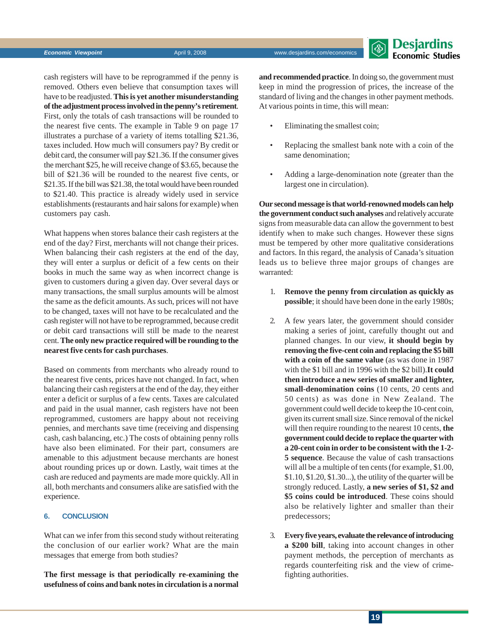**S** Desjardins **Economic Studies** 

cash registers will have to be reprogrammed if the penny is removed. Others even believe that consumption taxes will have to be readjusted. **This is yet another misunderstanding of the adjustment process involved in the penny's retirement**. First, only the totals of cash transactions will be rounded to the nearest five cents. The example in Table 9 on page 17 illustrates a purchase of a variety of items totalling \$21.36, taxes included. How much will consumers pay? By credit or debit card, the consumer will pay \$21.36. If the consumer gives the merchant \$25, he will receive change of \$3.65, because the bill of \$21.36 will be rounded to the nearest five cents, or \$21.35. If the bill was \$21.38, the total would have been rounded to \$21.40. This practice is already widely used in service establishments (restaurants and hair salons for example) when customers pay cash.

What happens when stores balance their cash registers at the end of the day? First, merchants will not change their prices. When balancing their cash registers at the end of the day, they will enter a surplus or deficit of a few cents on their books in much the same way as when incorrect change is given to customers during a given day. Over several days or many transactions, the small surplus amounts will be almost the same as the deficit amounts. As such, prices will not have to be changed, taxes will not have to be recalculated and the cash register will not have to be reprogrammed, because credit or debit card transactions will still be made to the nearest cent. **The only new practice required will be rounding to the nearest five cents for cash purchases**.

Based on comments from merchants who already round to the nearest five cents, prices have not changed. In fact, when balancing their cash registers at the end of the day, they either enter a deficit or surplus of a few cents. Taxes are calculated and paid in the usual manner, cash registers have not been reprogrammed, customers are happy about not receiving pennies, and merchants save time (receiving and dispensing cash, cash balancing, etc.) The costs of obtaining penny rolls have also been eliminated. For their part, consumers are amenable to this adjustment because merchants are honest about rounding prices up or down. Lastly, wait times at the cash are reduced and payments are made more quickly. All in all, both merchants and consumers alike are satisfied with the experience.

#### **6. CONCLUSION**

What can we infer from this second study without reiterating the conclusion of our earlier work? What are the main messages that emerge from both studies?

**The first message is that periodically re-examining the usefulness of coins and bank notes in circulation is a normal**

**and recommended practice**. In doing so, the government must keep in mind the progression of prices, the increase of the standard of living and the changes in other payment methods. At various points in time, this will mean:

- Eliminating the smallest coin;
- Replacing the smallest bank note with a coin of the same denomination;
- Adding a large-denomination note (greater than the largest one in circulation).

**Our second message is that world-renowned models can help the government conduct such analyses** and relatively accurate signs from measurable data can allow the government to best identify when to make such changes. However these signs must be tempered by other more qualitative considerations and factors. In this regard, the analysis of Canada's situation leads us to believe three major groups of changes are warranted:

- 1. **Remove the penny from circulation as quickly as possible**; it should have been done in the early 1980s;
- 2. A few years later, the government should consider making a series of joint, carefully thought out and planned changes. In our view, **it should begin by removing the five-cent coin and replacing the \$5 bill with a coin of the same value** (as was done in 1987 with the \$1 bill and in 1996 with the \$2 bill).**It could then introduce a new series of smaller and lighter, small-denomination coins** (10 cents, 20 cents and 50 cents) as was done in New Zealand. The government could well decide to keep the 10-cent coin, given its current small size. Since removal of the nickel will then require rounding to the nearest 10 cents, **the government could decide to replace the quarter with a 20-cent coin in order to be consistent with the 1-2- 5 sequence**. Because the value of cash transactions will all be a multiple of ten cents (for example, \$1.00, \$1.10, \$1.20, \$1.30...), the utility of the quarter will be strongly reduced. Lastly, **a new series of \$1, \$2 and \$5 coins could be introduced**. These coins should also be relatively lighter and smaller than their predecessors;
- 3. **Every five years, evaluate the relevance of introducing a \$200 bill**, taking into account changes in other payment methods, the perception of merchants as regards counterfeiting risk and the view of crimefighting authorities.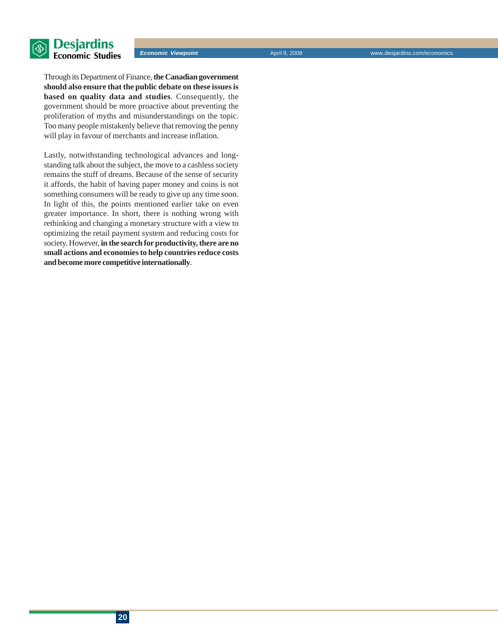

Through its Department of Finance, **the Canadian government should also ensure that the public debate on these issues is based on quality data and studies**. Consequently, the government should be more proactive about preventing the proliferation of myths and misunderstandings on the topic. Too many people mistakenly believe that removing the penny will play in favour of merchants and increase inflation.

Lastly, notwithstanding technological advances and longstanding talk about the subject, the move to a cashless society remains the stuff of dreams. Because of the sense of security it affords, the habit of having paper money and coins is not something consumers will be ready to give up any time soon. In light of this, the points mentioned earlier take on even greater importance. In short, there is nothing wrong with rethinking and changing a monetary structure with a view to optimizing the retail payment system and reducing costs for society. However, **in the search for productivity, there are no small actions and economies to help countries reduce costs and become more competitive internationally**.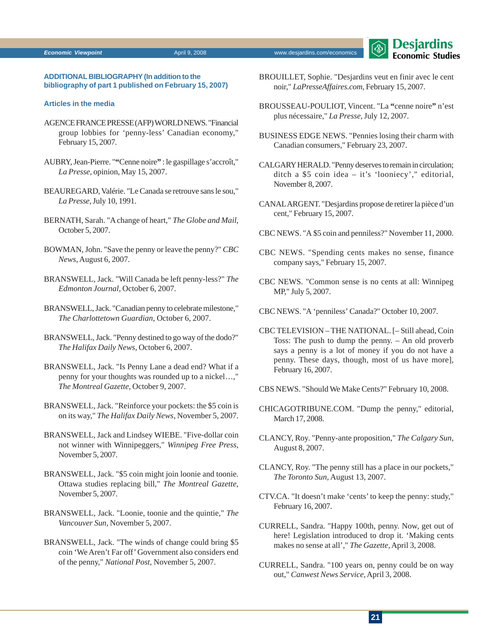#### **Economic Viewpoint April 9, 2008** Www.desjardins.com/economics **April 9, 2008** Www.desjardins.com/economics



#### **ADDITIONAL BIBLIOGRAPHY (In addition to the bibliography of part 1 published on February 15, 2007)**

#### **Articles in the media**

- AGENCE FRANCE PRESSE (AFP) WORLD NEWS. "Financial group lobbies for 'penny-less' Canadian economy," February 15, 2007.
- AUBRY, Jean-Pierre. "**"**Cenne noire**"** : le gaspillage s'accroît," *La Presse*, opinion, May 15, 2007.
- BEAUREGARD, Valérie. "Le Canada se retrouve sans le sou," *La Presse*, July 10, 1991.
- BERNATH, Sarah. "A change of heart," *The Globe and Mail*, October 5, 2007.
- BOWMAN, John. "Save the penny or leave the penny?" *CBC News*, August 6, 2007.
- BRANSWELL, Jack. "Will Canada be left penny-less?" *The Edmonton Journal*, October 6, 2007.
- BRANSWELL, Jack. "Canadian penny to celebrate milestone," *The Charlottetown Guardian*, October 6, 2007.
- BRANSWELL, Jack. "Penny destined to go way of the dodo?" *The Halifax Daily News*, October 6, 2007.
- BRANSWELL, Jack. "Is Penny Lane a dead end? What if a penny for your thoughts was rounded up to a nickel…," *The Montreal Gazette*, October 9, 2007.
- BRANSWELL, Jack. "Reinforce your pockets: the \$5 coin is on its way," *The Halifax Daily News*, November 5, 2007.
- BRANSWELL, Jack and Lindsey WIEBE. "Five-dollar coin not winner with Winnipeggers," *Winnipeg Free Press*, November 5, 2007.
- BRANSWELL, Jack. "\$5 coin might join loonie and toonie. Ottawa studies replacing bill," *The Montreal Gazette*, November 5, 2007.
- BRANSWELL, Jack. "Loonie, toonie and the quintie," *The Vancouver Sun*, November 5, 2007.
- BRANSWELL, Jack. "The winds of change could bring \$5 coin 'We Aren't Far off' Government also considers end of the penny," *National Post,* November 5, 2007.
- BROUILLET, Sophie. "Desjardins veut en finir avec le cent noir," *LaPresseAffaires.com*, February 15, 2007.
- BROUSSEAU-POULIOT, Vincent. "La **"**cenne noire**"** n'est plus nécessaire," *La Presse*, July 12, 2007.
- BUSINESS EDGE NEWS. "Pennies losing their charm with Canadian consumers," February 23, 2007.
- CALGARY HERALD. "Penny deserves to remain in circulation; ditch a \$5 coin idea – it's 'looniecy'," editorial, November 8, 2007.
- CANAL ARGENT. "Desjardins propose de retirer la pièce d'un cent," February 15, 2007.
- CBC NEWS. "A \$5 coin and penniless?" November 11, 2000.
- CBC NEWS. "Spending cents makes no sense, finance company says," February 15, 2007.
- CBC NEWS. "Common sense is no cents at all: Winnipeg MP," July 5, 2007.
- CBC NEWS. "A 'penniless' Canada?" October 10, 2007.
- CBC TELEVISION THE NATIONAL. [– Still ahead, Coin Toss: The push to dump the penny. – An old proverb says a penny is a lot of money if you do not have a penny. These days, though, most of us have more], February 16, 2007.
- CBS NEWS. "Should We Make Cents?" February 10, 2008.
- CHICAGOTRIBUNE.COM. "Dump the penny," editorial, March 17, 2008.
- CLANCY, Roy. "Penny-ante proposition," *The Calgary Sun*, August 8, 2007.
- CLANCY, Roy. "The penny still has a place in our pockets," *The Toronto Sun*, August 13, 2007.
- CTV.CA. "It doesn't make 'cents' to keep the penny: study," February 16, 2007.
- CURRELL, Sandra. "Happy 100th, penny. Now, get out of here! Legislation introduced to drop it. 'Making cents makes no sense at all'," *The Gazette*, April 3, 2008.
- CURRELL, Sandra. "100 years on, penny could be on way out," *Canwest News Service*, April 3, 2008.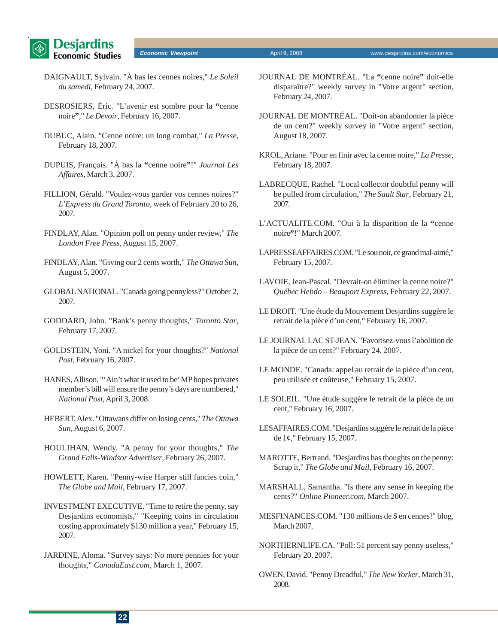

**Economic Viewpoint April 9, 2008** Www.desjardins.com/economics **April 9, 2008** Www.desjardins.com/economics

- DAIGNAULT, Sylvain. "À bas les cennes noires," *Le Soleil du samedi*, February 24, 2007.
- DESROSIERS, Éric. "L'avenir est sombre pour la **"**cenne noire**"**," *Le Devoir*, February 16, 2007.
- DUBUC, Alain. "Cenne noire: un long combat," *La Presse*, February 18, 2007.
- DUPUIS, François. "À bas la **"**cenne noire**"**!" *Journal Les Affaires*, March 3, 2007.
- FILLION, Gérald. "Voulez-vous garder vos cennes noires?" *L'Express du Grand Toronto*, week of February 20 to 26, 2007.
- FINDLAY, Alan. "Opinion poll on penny under review," *The London Free Press*, August 15, 2007.
- FINDLAY, Alan. "Giving our 2 cents worth," *The Ottawa Sun*, August 5, 2007.
- GLOBAL NATIONAL. "Canada going pennyless?" October 2, 2007.
- GODDARD, John. "Bank's penny thoughts," *Toronto Star*, February 17, 2007.
- GOLDSTEIN, Yoni. "A nickel for your thoughts?" *National Post*, February 16, 2007.
- HANES, Allison. "'Ain't what it used to be' MP hopes privates member's bill will ensure the penny's days are numbered," *National Post*, April 3, 2008.
- HEBERT, Alex. "Ottawans differ on losing cents," *The Ottawa Sun*, August 6, 2007.
- HOULIHAN, Wendy. "A penny for your thoughts," *The Grand Falls-Windsor Advertiser*, February 26, 2007.
- HOWLETT, Karen. "Penny-wise Harper still fancies coin," *The Globe and Mail*, February 17, 2007.
- INVESTMENT EXECUTIVE. "Time to retire the penny, say Desjardins economists," "Keeping coins in circulation costing approximately \$130 million a year," February 15, 2007.
- JARDINE, Aloma. "Survey says: No more pennies for your thoughts," *CanadaEast.com*, March 1, 2007.
- JOURNAL DE MONTRÉAL. "La **"**cenne noire**"** doit-elle disparaître?" weekly survey in "Votre argent" section, February 24, 2007.
- JOURNAL DE MONTRÉAL. "Doit-on abandonner la pièce de un cent?" weekly survey in "Votre argent" section, August 18, 2007.
- KROL, Ariane. "Pour en finir avec la cenne noire," *La Presse*, February 18, 2007.
- LABRECQUE, Rachel. "Local collector doubtful penny will be pulled from circulation," *The Sault Star*, February 21, 2007.
- L'ACTUALITE.COM. "Oui à la disparition de la **"**cenne noire**"**!" March 2007.
- LAPRESSEAFFAIRES.COM. "Le sou noir, ce grand mal-aimé," February 15, 2007.
- LAVOIE, Jean-Pascal. "Devrait-on éliminer la cenne noire?" *Québec Hebdo – Beauport Express*, February 22, 2007.
- LE DROIT. "Une étude du Mouvement Desjardins suggère le retrait de la pièce d'un cent," February 16, 2007.
- LE JOURNAL LAC ST-JEAN. "Favorisez-vous l'abolition de la pièce de un cent?" February 24, 2007.
- LE MONDE. "Canada: appel au retrait de la pièce d'un cent, peu utilisée et coûteuse," February 15, 2007.
- LE SOLEIL. "Une étude suggère le retrait de la pièce de un cent," February 16, 2007.
- LESAFFAIRES.COM. "Desjardins suggère le retrait de la pièce de 1¢," February 15, 2007.
- MAROTTE, Bertrand. "Desjardins has thoughts on the penny: Scrap it," *The Globe and Mail*, February 16, 2007.
- MARSHALL, Samantha. "Is there any sense in keeping the cents?" *Online Pioneer.com*, March 2007.
- MESFINANCES.COM. "130 millions de \$ en cennes!" blog, March 2007.
- NORTHERNLIFE.CA. "Poll: 51 percent say penny useless," February 20, 2007.
- OWEN, David. "Penny Dreadful," *The New Yorker*, March 31, 2008.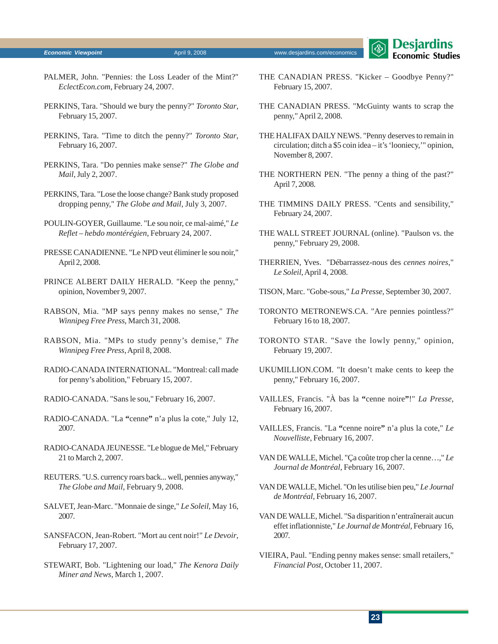#### **Economic Viewpoint April 9, 2008** Www.desjardins.com/economics **April 9, 2008** Www.desjardins.com/economics

- PALMER, John. "Pennies: the Loss Leader of the Mint?" *EclectEcon.com*, February 24, 2007.
- PERKINS, Tara. "Should we bury the penny?" *Toronto Star*, February 15, 2007.
- PERKINS, Tara. "Time to ditch the penny?" *Toronto Star*, February 16, 2007.
- PERKINS, Tara. "Do pennies make sense?" *The Globe and Mail*, July 2, 2007.
- PERKINS, Tara. "Lose the loose change? Bank study proposed dropping penny," *The Globe and Mail*, July 3, 2007.
- POULIN-GOYER, Guillaume. "Le sou noir, ce mal-aimé," *Le Reflet – hebdo montérégien*, February 24, 2007.
- PRESSE CANADIENNE. "Le NPD veut éliminer le sou noir," April 2, 2008.
- PRINCE ALBERT DAILY HERALD. "Keep the penny," opinion, November 9, 2007.
- RABSON, Mia. "MP says penny makes no sense," *The Winnipeg Free Press*, March 31, 2008.
- RABSON, Mia. "MPs to study penny's demise," *The Winnipeg Free Press*, April 8, 2008.
- RADIO-CANADA INTERNATIONAL. "Montreal: call made for penny's abolition," February 15, 2007.
- RADIO-CANADA. "Sans le sou," February 16, 2007.
- RADIO-CANADA. "La **"**cenne**"** n'a plus la cote," July 12, 2007.
- RADIO-CANADA JEUNESSE. "Le blogue de Mel," February 21 to March 2, 2007.
- REUTERS. "U.S. currency roars back... well, pennies anyway," *The Globe and Mail*, February 9, 2008.
- SALVET, Jean-Marc. "Monnaie de singe," *Le Soleil*, May 16, 2007.
- SANSFACON, Jean-Robert. "Mort au cent noir!" *Le Devoir*, February 17, 2007.
- STEWART, Bob. "Lightening our load," *The Kenora Daily Miner and News*, March 1, 2007.
- THE CANADIAN PRESS. "Kicker Goodbye Penny?" February 15, 2007.
- THE CANADIAN PRESS. "McGuinty wants to scrap the penny," April 2, 2008.
- THE HALIFAX DAILY NEWS. "Penny deserves to remain in circulation; ditch a \$5 coin idea – it's 'looniecy,'" opinion, November 8, 2007.
- THE NORTHERN PEN. "The penny a thing of the past?" April 7, 2008.
- THE TIMMINS DAILY PRESS. "Cents and sensibility," February 24, 2007.
- THE WALL STREET JOURNAL (online). "Paulson vs. the penny," February 29, 2008.
- THERRIEN, Yves. "Débarrassez-nous des *cennes noires*," *Le Soleil*, April 4, 2008.
- TISON, Marc. "Gobe-sous," *La Presse*, September 30, 2007.
- TORONTO METRONEWS.CA. "Are pennies pointless?" February 16 to 18, 2007.
- TORONTO STAR. "Save the lowly penny," opinion, February 19, 2007.
- UKUMILLION.COM. "It doesn't make cents to keep the penny," February 16, 2007.
- VAILLES, Francis. "À bas la **"**cenne noire**"**!" *La Presse*, February 16, 2007.
- VAILLES, Francis. "La **"**cenne noire**"** n'a plus la cote," *Le Nouvelliste*, February 16, 2007.
- VAN DE WALLE, Michel. "Ça coûte trop cher la cenne…," *Le Journal de Montréal*, February 16, 2007.
- VAN DE WALLE, Michel. "On les utilise bien peu," *Le Journal de Montréal*, February 16, 2007.
- VAN DE WALLE, Michel. "Sa disparition n'entraînerait aucun effet inflationniste," *Le Journal de Montréal*, February 16, 2007.
- VIEIRA, Paul. "Ending penny makes sense: small retailers," *Financial Post*, October 11, 2007.

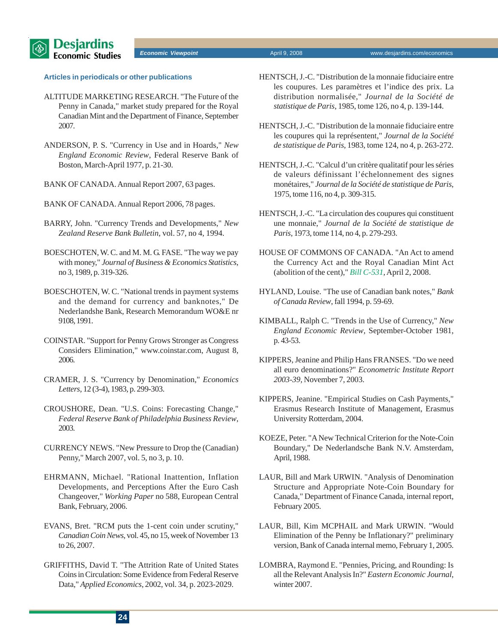

#### **Articles in periodicals or other publications**

- ALTITUDE MARKETING RESEARCH. "The Future of the Penny in Canada," market study prepared for the Royal Canadian Mint and the Department of Finance, September 2007.
- ANDERSON, P. S. "Currency in Use and in Hoards," *New England Economic Review*, Federal Reserve Bank of Boston, March-April 1977, p. 21-30.
- BANK OF CANADA. Annual Report 2007, 63 pages.
- BANK OF CANADA. Annual Report 2006, 78 pages.
- BARRY, John. "Currency Trends and Developments," *New Zealand Reserve Bank Bulletin*, vol. 57, no 4, 1994.
- BOESCHOTEN, W. C. and M. M. G. FASE. "The way we pay with money," *Journal of Business & Economics Statistics*, no 3, 1989, p. 319-326.
- BOESCHOTEN, W. C. "National trends in payment systems and the demand for currency and banknotes," De Nederlandshe Bank, Research Memorandum WO&E nr 9108, 1991.
- COINSTAR. "Support for Penny Grows Stronger as Congress Considers Elimination," www.coinstar.com, August 8, 2006.
- CRAMER, J. S. "Currency by Denomination," *Economics Letters*, 12 (3-4), 1983, p. 299-303.
- CROUSHORE, Dean. "U.S. Coins: Forecasting Change," *Federal Reserve Bank of Philadelphia Business Review*, 2003.
- CURRENCY NEWS. "New Pressure to Drop the (Canadian) Penny," March 2007, vol. 5, no 3, p. 10.
- EHRMANN, Michael. "Rational Inattention, Inflation Developments, and Perceptions After the Euro Cash Changeover," *Working Paper* no 588, European Central Bank, February, 2006.
- EVANS, Bret. "RCM puts the 1-cent coin under scrutiny," *Canadian Coin News*, vol. 45, no 15, week of November 13 to 26, 2007.
- GRIFFITHS, David T. "The Attrition Rate of United States Coins in Circulation: Some Evidence from Federal Reserve Data," *Applied Economics*, 2002, vol. 34, p. 2023-2029.
- HENTSCH, J.-C. "Distribution de la monnaie fiduciaire entre les coupures. Les paramètres et l'indice des prix. La distribution normalisée," *Journal de la Société de statistique de Paris*, 1985, tome 126, no 4, p. 139-144.
- HENTSCH, J.-C. "Distribution de la monnaie fiduciaire entre les coupures qui la représentent," *Journal de la Société de statistique de Paris*, 1983, tome 124, no 4, p. 263-272.
- HENTSCH, J.-C. "Calcul d'un critère qualitatif pour les séries de valeurs définissant l'échelonnement des signes monétaires," *Journal de la Société de statistique de Paris*, 1975, tome 116, no 4, p. 309-315.
- HENTSCH, J.-C. "La circulation des coupures qui constituent une monnaie," *Journal de la Société de statistique de Paris*, 1973, tome 114, no 4, p. 279-293.
- HOUSE OF COMMONS OF CANADA. "An Act to amend the Currency Act and the Royal Canadian Mint Act (abolition of the cent)," *[Bill C-531,](http://www2.parl.gc.ca/HousePublications/Publication.aspx?Docid=3379584&file=4)* April 2, 2008.
- HYLAND, Louise. "The use of Canadian bank notes," *Bank of Canada Review*, fall 1994, p. 59-69.
- KIMBALL, Ralph C. "Trends in the Use of Currency," *New England Economic Review*, September-October 1981, p. 43-53.
- KIPPERS, Jeanine and Philip Hans FRANSES. "Do we need all euro denominations?" *Econometric Institute Report 2003-39*, November 7, 2003.
- KIPPERS, Jeanine. "Empirical Studies on Cash Payments," Erasmus Research Institute of Management, Erasmus University Rotterdam, 2004.
- KOEZE, Peter. "A New Technical Criterion for the Note-Coin Boundary," De Nederlandsche Bank N.V. Amsterdam, April, 1988.
- LAUR, Bill and Mark URWIN. "Analysis of Denomination Structure and Appropriate Note-Coin Boundary for Canada," Department of Finance Canada, internal report, February 2005.
- LAUR, Bill, Kim MCPHAIL and Mark URWIN. "Would Elimination of the Penny be Inflationary?" preliminary version, Bank of Canada internal memo, February 1, 2005.
- LOMBRA, Raymond E. "Pennies, Pricing, and Rounding: Is all the Relevant Analysis In?" *Eastern Economic Journal*, winter 2007.